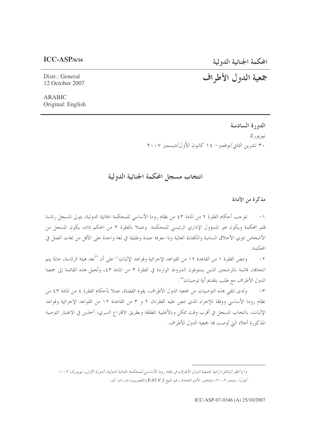المحكمة الجنائية الدولية

#### Distr.: General 12 October 2007

# جمعية الدول الأطراف

**ARABIC** Original: English

> الدورة السادسة نيو يو رك ۳۰ تشرین الثانی/نوفمبر – ۱٤ کانون الأول/دیسمبر ۲۰۰۷

# انتخاب مسجل المحكمة الجنائية الدولية

مذكرة من الأمانة

بموجب أحكام الفقرة ٢ من المادة ٤٣ من نظام روما الأساسي للمحكمة الجائية الدولية، يتولى المسجل رئاسة  $-1$ قلم المحكمة ويكون هو المسؤول الإداري الرئيسي للمحكمة. وعملا بالفقرة ٣ من الحكم ذاته، يكون المسجل من الأشخاص ذوى الأخلاق السامية والكفاءة العالية وذا معرفة جيدة وطليقا في لغة واحدة على الأقل من لغات العمل في المحكمة.

وتنص الفقرة ١ من القاعدة ١٢ من القواعد الإجرائية وقواعد الإثبات'') على أن ''تعد هيئة الرئاسة، حالما يتم  $-\tau$ انتخاها، قائمة بالمرشحين الذين يستوفون الشروط الواردة في الفقرة ٣ من المادة ٤٣، وتُحيل هذه القائمة إلى جمعية الدول الأطراف مع طلب بتقديم أية توصيات''.

٣– ولدى تلقى هذه التوصيات من جمعية الدول الأطراف، يقوم القضاة، عملا بأحكام الفقرة ٤ من المادة ٤٣ من نظام روما الأساسي ووفقا للإجراء الذي تنص عليه الفقرتان ٢ و ٣ من القاعدة ١٢ من القواعد الإجرائية وقواعد الإثبات، بانتخاب المسجل في أقرب وقت ممكن وبالأغلبية المطلقة وبطريق الاقتراع السري، آخذين في الاعتبار التوصية المذكورة أعلاه البت أوصت بما جمعية الدول الأطراف.

ICC-ASP-07-0346 (A) 25/10/2007

<sup>(</sup>١) أنظر الوثائق الرسمية لجمعية الدول الأطراف في نظام روما الأساسي للمحكمة الجنائية الدولية، الدورة الأولى، نيويورك، ٣-١٠ *أيلول/ سبتمبر ٢٠٠٢،* (منشور الأمم المتحدة، رقم المبيع E.03.V.2 والتصويب) الجزء ثانيا. ألف.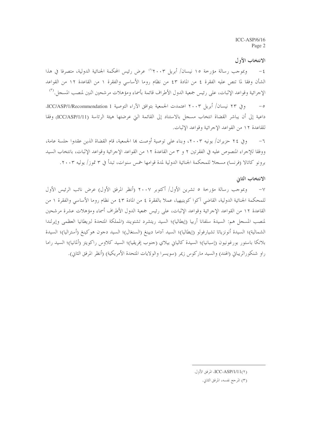#### الانتخاب الأول

وبموجب رسالة مؤرخة ١٥ نيسان/ أبريل ٢٠٠٣" عرض رئيس المحكمة الجنائية الدولية، متصرفا في هذا  $-\xi$ الشأن وفقا لما تنص عليه الفقرة ٤ من المادة ٤٣ من نظام روما الأساسي والفقرة ١ من القاعدة ١٢ من القواعد الإحرائية وقواعد الإثبات، على رئيس جمعية الدول الأطراف قائمة بأسماء ومؤهلات مرشحين اثنين لمنصب المسحل. (٣)

وفي ٢٣ نيسان/ أبريل ٢٠٠٣ اعتمدت الجمعية بتوافق الآراء التوصية ICC/ASP/1/Recommendation 1،  $-\circ$ داعية إلى أن يباشر القضاة انتخاب مسجل بالاستناد إلى القائمة التي عرضتها هيئة الرئاسة (ICC/ASP/1/11) وفقا للقاعدة ١٢ من القواعد الإجرائية وقواعد الإثبات.

وفي ٢٤ حزيران/ يونيه ٢٠٠٣، وبناء على توصية أوصت ها الجمعية، قام القضاة الذين عقدوا جلسة عامة،  $-7$ ووفقًا للإجراء المنصوص عليه في الفقرتين ٢ و ٣ من القاعدة ١٢ من القواعد الإجرائية وقواعد الإثبات، بانتخاب السيد برونو كاتالا (فرنسا) مسجلا للمحكمة الجنائية الدولية لمدة قوامها خمس سنوات، تبدأ في ٣ تموز/ يوليه ٢٠٠٣.

#### الانتخاب الثاني

وبموجب رسالة مؤرخة ٥ تشرين الأول/ أكتوبر ٢٠٠٧ (أنظر المرفق الأول) عرض نائب الرئيس الأول  $-\vee$ للمحكمة الجنائية الدولية، القاضي آكوا كوينيهيا، عملا بالفقرة ٤ من المادة ٤٣ من نظام روما الأساسي والفقرة ١ من القاعدة ١٢ من القواعد الإجرائية وقواعد الإثبات، على رئيس جمعية الدول الأطراف أسماء ومؤهلات عشرة مرشحين لمنصب المسجل هم: السيدة سلفانا أربيا (إيطاليا)؛ السيد ريتشرد تشتويند (المملكة المتحدة لبريطانيا العظمى وإيرلندا الشمالية)؛ السيدة أنونزياتا تشيارفولو (إيطاليا)؛ السيد آداما ديينغ (السنغال)؛ السيد دحون هوكينغ (أستراليا)؛ السيدة بلانكا باستور بورغونيون (إسبانيا)؛ السيدة كالياني بيلاي (جنوب إفريقيا)؛ السيد كلاوس راكويتز (ألمانيا)؛ السيد راما راو شنكوراثريباتي (الهند) والسيد ماركوس زيمر (سويسرا والولايات المتحدة الأمريكية) (أنظر المرفق الثاني).

<sup>(</sup>٢) ICC-ASP/1/11، المرفق الأول. (٣) المرجع نفسه، المرفق الثاني.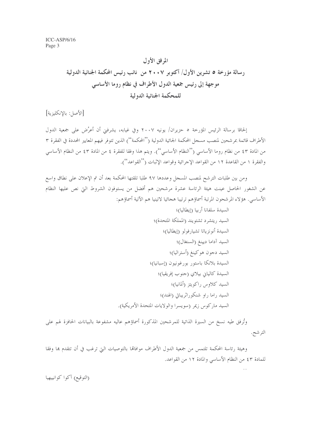# المرفق الأول رسالة مؤرخة ٥ تشرين الأول/ أكتوبر ٢٠٠٧ من نائب رئيس المحكمة الجنائية الدولية موجهة إلى رئيس جمعية الدول الأطراف في نظام روما الأساسي للمحكمة الجنائية الدولية

[الأصل: بالإنكليزية]

إلحاقا برسالة الرئيس المؤرخة ٥ حزيران/ يونيه ٢٠٠٧ وفي غيابه، يشرفني أن أعرُض على جمعية الدول الأطراف قائمة بمرشحين لمنصب مسجل المحكمة الجائية الدولية (''المحكمة'') الذين تتوفر فيهم المعايير المحددة في الفقرة ٣ من المادة ٤٣ من نظام روما الأساسي (''النظام الأساسي''). ويتم هذا وفقا للفقرة ٤ من المادة ٤٣ من النظام الأساسي والفقرة ١ من القاعدة ١٢ من القواعد الإحرائية وقواعد الإثبات (''القواعد'').

ومن بين طلبات الترشح لمنصب المسجل وعددها ٩٧ طلبا تلقتها المحكمة بعد أن تم الإعلان على نطاق واسع عن الشغور الحاصل عينت هيئة الرئاسة عشرة مرشحين هم أفضل من يستوفون الشروط التي نص عليها النظام الأساسي. هؤلاء المرشحون المرتبة أسماؤهم ترتيبا هجائيا لاتينيا هم الآتية أسماؤهم:

وتُرفق طيه نسخ من السيرة الذاتية للمرشحين المذكورة أسماؤهم عاليه مشفوعة بالبيانات الحافزة لهم على الترشح.

وهيئة رئاسة المحكمة تلتمس من جمعية الدول الأطراف موافاتها بالتوصيات التي ترغب في أن تتقدم بما وفقا للمادة ٤٣ من النظام الأساسي والمادة ١٢ من القواعد.

(التوقيع) آكوا كوانييهيا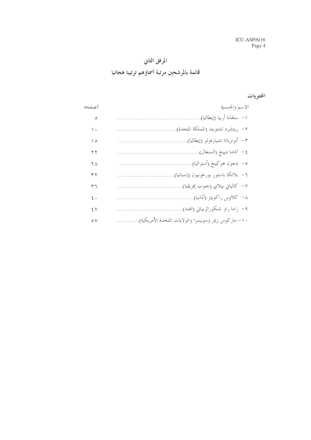# المرفق الثاني قائمة بالمرشحين مرتبة أسماؤهم ترتيبا هجائيا

# المحتويات

| الصفحة       | الاسم والجنسية                                       |
|--------------|------------------------------------------------------|
| $\circ$      | ١–  سلفانا أربيا (إيطاليا)                           |
| ۱.           | ٢– ريتشرد تشتويند (المملكة المتحدة).<br>.            |
| ه ۱          | ٣- أنونزياتا تشيارفولو (إيطاليا)                     |
| ۲ ۲          | ٤– آداما ديينغ (السنغال)                             |
| ۲ ۸          | ٥–  دحون هوكينغ (أستراليا)                           |
| ۳۲           | ٦– بلانكا باستور بورغونيون (إسبانيا)                 |
| ٣٦           | ٧– كالياني بيلاي (حنوب إفريقيا)                      |
| $\zeta$ .    | ٨– كلاوس راكويتز (ألمانيا)                           |
| ٤V           | ۹– راما راو شنكوراثريباتي (الهند)                    |
| $\circ \vee$ | ١٠– ماركوس زيمر (سويسرا والولايات المتحدة الأمريكية) |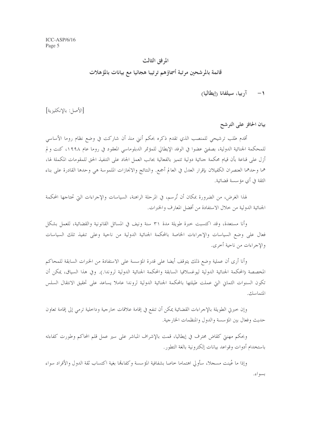### المرفق الثالث

قائمة بالمرشحين مرتبة أسماؤهم ترتيبا هجائيا مع بيانات بالمؤهلات

آربيا، سيلفانا (إيطاليا)  $-1$ 

[الأصل: بالإنكليزية]

بيان الحافز على الترشح

أقدم طلب ترشيحي للمنصب الذي تقدم ذكره بحكم أنني منذ أن شاركت في وضع نظام روما الأساسي للمحكمة الجنائية الدولية، بصفيٍّ عضوا في الوفد الإيطالي للمؤتمر الدبلوماسي المعقود في روما عام ١٩٩٨، كنت ولم أزل على قناعة بأن قيام محكمة جنائية دولية تتميز بالفعالية بجانب العمل الجاد على التنفيذ الحق للمقومات المكملة لها، هما وحدهما العنصران الكفيلان بإقرار العدل في العالم أجمع. والنتائج والانجازات الملموسة هي وحدها القادرة على بناء الثقة في أي مؤسسة قضائية.

لهذا الغرض، من الضرورة بمكان أن تُرسم، في المرحلة الراهنة، السياسات والإجراءات التي تحتاجها المحكمة الجنائية الدولية من خلال الاستفادة من أفضل المعارف والحبرات.

وأنا مستعدة، وقد اكتسبت حبرة طويلة مدة ٣١ سنة ونيف في المسائل القانونية والقضائية، للعمل بشكل فعال على وضع السياسات والإجراءات الخاصة بالمحكمة الجنائية الدولية من ناحية وعلى تنفيذ تلك السياسات والإجراءات من ناحية أخرى.

وأنا أرى أن عملية وضع ذلك يتوقف أيضا على قدرة المؤسسة على الاستفادة من الخبرات السابقة للمحاكم المخصصة (المحكمة الجنائية الدولية ليوغسلافيا السابقة والمحكمة الجنائية الدولية لروندا.). وفي هذا السياق، يمكن أن تكون السنوات الثماني التي عملت طيلتها بالمحكمة الجنائية الدولية لروندا عاملا يساعد على تحقيق الانتقال السلس المتماسك.

وإن خبرتي الطويلة بالإجراءات القضائية يمكن أن تنفع في إقامة علاقات خارجية وداخلية ترمى إلى إقامة تعاون حديث وفعال بين المؤسسة والدول والمنظمات الخارجية.

وبحكم مهنتي كقاض محترف في إيطاليا، قمت بالإشراف المباشر على سير عمل قلم المحاكم وطورت كفاءته باستخدام أدوات وقواعد بيانات إلكترونية بالغة التطور .

وإذا ما عُينت مسجلا، سأولى اهتماما خاصا بشفافية المؤسسة وكفاءتما بغية اكتساب ثقة الدول والأفراد سواء بسواء.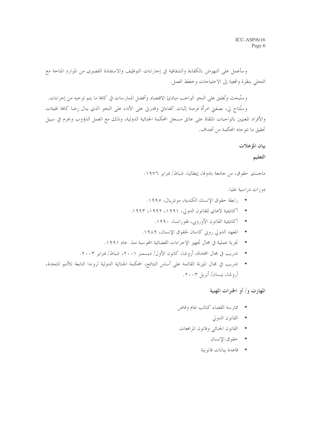وسأعمل على النهوض بالكفاءة والشفافية في إحاراءات التوظيف والاستفادة القصوى من الموارد المتاحة مع التحلي بنظرة واقعية إلى الاحتياجات وخطط العمل.

وستُبحث وتُطبق على النحو الواحب مبادئ الاقتصاد وأفضل الممارسات في كافة ما يتم توخيه من إجراءات. وستُتاح لي، بصفيّ امرأة فرصة إثبات كفاءاتي وقدرتي على الأداء على النحو الذي ينال رضا كافة الهيئات والأفراد المعنيين بالواجبات الملقاة على عاتق مسجل المحكمة الجنائية الدولية، وذلك مع العمل الدؤوب وبحزم في سبيل تحقيق ما تتوخاه المحكمة من أهداف.

بيان المؤهلات

## التعليم

ماجستير حقوق، من جامعة بادوفا، إيطاليا، شباط/ فبراير ١٩٧٦.

دورات دراسية عليا:

- رابطة حقوق الإنسان الكندية، مونتريال، ١٩٩٥.
- آكاديمية لاهاي للقانون الدولي، ١٩٩١، ١٩٩٢، ١٩٩٣.
	-
	- المعهد الدولي رويي كاسان لحقوق الإنسان، ١٩٨٩.
- تجربة عملية في مجال تجهيز الإجراءات القضائية المحوسبة منذ عام ١٩٩١.
- تدريب في مجال المحاماة، أروشا، كانون الأول/ ديسمبر ٢٠٠١، شباط/ فبراير ٢٠٠٣.
- تدريب في مجال الميزنة القائمة على أساس النتائج، المحكمة الجنائية الدولية لروندا التابعة للأمم المتحدة، أروشا، نيسان/ أبريل ٢٠٠٣.

المهارت و/ أو الخبرات المهنية

- ممارسة القضاء كنائب عام وقاض
	- القانون الدولي
- القانون الجنائبي وقانون المرافعات
	- حقوق الإنسان
	- قاعدة بيانات قانونية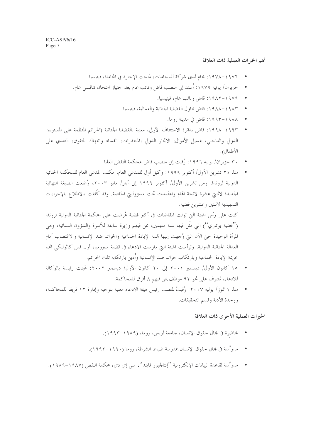أهم الخبرات العملية ذات العلاقة

- ١٩٧٦–١٩٧٨: محام لدى شركة للمحامات، مُنحت الإجازة في المحاماة، فينيسيا.
- حزيران/ يونيه ١٩٧٩: أُسند إلى منصب قاض ونائب عام بعد اجتياز امتحان تنافسي عام.  $\blacksquare$ 
	- ١٩٧٩-١٩٨٢: قاض ونائب عام، فينيسيا.  $\bullet$
	- ١٩٨٣-١٩٨٨: قاض تناول القضايا الجنائية والعمالية، فينيسيا.
		- ١٩٨٨-١٩٩٣: قاض في مدينة روما.
- ١٩٩٣–١٩٩٨: قاض بدائرة الاستئناف الأولى، معنية بالقضايا الجنائية (الجرائم المنظمة على المستويين الدولي والداحلي، غسيل الأموال، الاتجار الدولي بالمخدرات، الفساد وانتهاك الحقوق، التعدي على الأطفال).
	- ٣٠ حزيران/ يونيه ١٩٩٦: رُقيت إلى منصب قاض بمحكمة النقض العليا.
- منذ ٢٤ تشرين الأول/ أكتوبر ١٩٩٩: وكيل أول للمدعى العام، مكتب المدعى العام للمحكمة الجنائية الدولية لروندا. ومن تشرين الأول/ أكتوبر ١٩٩٩ إلى أيار/ مايو ٢٠٠٣، وُضعت الصيغة النهائية الجديدة لاثنيّ عشرة لائحة اقمام واعتُمدت تحت مسؤولييّ الخاصة. وقد كُلفت بالاطلاع بالإجراءات التمهيدية لاثنتين وعشرين قضية.

كنت على رأس الهيئة التي تولت المقاضات في أكبر قضية عُرضت على المحكمة الجنائية الدولية لروندا (''قضية بوتاري'') التي مثُل فيها ستة متهمين، بمن فيهم وزيرة سابقة للأسرة والشؤون النسائية، وهي المرأة الوحيدة حتى الآن التي وُجهت إليها قممة الإبادة الجماعية والجرائم ضد الإنسانية والاغتصاب أمام العدالة الجنائية الدولية. وترأست الهيئة التي مارست الادعاء في قضية سيرومبا، أول قس كاثوليكي اقمم بجريمة الإبادة الجماعية وبارتكاب جرائم ضد الإنسانية وأُدين بارتكابه تلك الجرائم.

- ١٥ كانون الأول/ ديسمبر ٢٠٠١ إلى ٢٠ كانون الأول/ ديسمبر ٢٠٠٢: عُينت رئيسة بالوكالة  $\bullet$ للادعاء، تُشرف على نحو ٩٢ موظف بمن فيهم ٨ أفرق للمحاكمة.
- منذ ١ تموز/ يوليه ٢٠٠٧: رُقيتُ لمنصب رئيس هيئة الادعاء معنية بتوجيه وإدارة ١٢ فريقا للمحاكمة، ووحدة الأدلة وقسم التحقيقات.

الخبرات العملية الأخرى ذات العلاقة

- محاضرة في مجال حقوق الإنسان، جامعة لويس، روما، (١٩٨٩–١٩٩٣).
- مدرٌّ سة في مجال حقوق الإنسان بمدرسة ضباط الشرطة، روما (١٩٩٠–١٩٩٢).
- مدرٍّ سة لقاعدة البيانات الإلكترونية ''إنتالجيور فايند''، سي إي دي، محكمة النقض (١٩٨٧–١٩٨٩).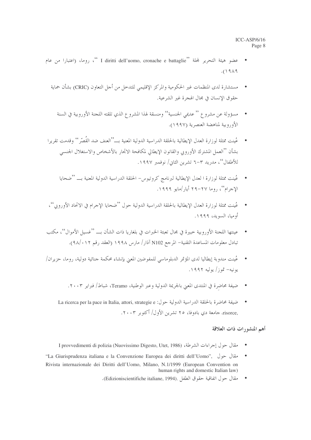- عضو هيئة التحرير لمجلة ''I diritti dell'uomo, cronache e battaglie ''، روما، (اعتيارا من عام  $(1919$ 
	- مستشارة لدى المنظمات غير الحكومية والمركز الإقليمي للتدخل من أجل التعاون (CRIC) بشأن حماية  $\blacksquare$ حقوق الإنسان في مجال الهجرة غير الشرعية.
		- مسؤولة عن مشروع '' عديمي الجنسية'' ومنسقة لهذا المشروع الذي تلقته اللجنة الأوروبية في السنة الأوروبية لمناهضة العنصرية (١٩٩٧).
- عُينت ممثلة لوزارة العدل الإيطالية بالحلقة الدراسية الدولية المعنية بـــ''العنف ضد القُصّر '' وقدمت تقريرا بشأن ''العمل المشترك الأوروبي والقانون الإيطالي لمكافحة الاتحار بالأشخاص والاستغلال الجنسبي للأطفال''، مدريد ٣–٦ تشرين الثاني/ نوفمبر ١٩٩٧.
	- عُينت ممثلة لوزارة ا لعدل الإيطالية لبرنامج كروتيوس– الحلقة الدراسية الدولية المعنية بـــ ''ضحايا الاجرام''، , وما ٢٧–٢٩ أيار/مايو ١٩٩٩.
- عُينت ممثلة لوزارة العدل الإيطالية بالحلقة الدراسية الدولية حول ''ضحايا الإجرام في الاتحاد الأوروبي''، أوميا، السويك، ١٩٩٩.
- عينتها اللجنة الأوروبية خبيرة في مجال تعبئة الخبرات في بلغاريا ذات الشأن بـــ ''غسيل الأموال''، مكتب تبادل معلومات المساعدة التقنية– المرجع N102 آذار / مارس ١٩٩٨ (العقد رقم ٩٨/٠١٢).
- عُينت مندوبة إيطاليا لدى المؤتمر الدبلوماسي للمفوضين المعنى بإنشاء محكمة جنائية دولية، روما، حزيران/ يونيه- تموز/ يوليه ١٩٩٢.
	- ضيفة محاضرة في المنتدى المعنى بالجريمة الدولية وعبر الوطنية، Teramo، شباط/ فبرايه ٢٠٠٣.  $\blacksquare$
	- ضيفة محاضرة بالحلقة الدراسية الدولية حول: La ricerca per la pace in Italia, attori, strategie e  $\bullet$ .risorce، جامعة دي بادوفا، ٢٥ تشرين الأول/ أكتوبر ٢٠٠٣.

## أهم المنشورات ذات العلاقة

- I provvedimenti di polizia (Nuovissimo Digesto, Utet, 1986) ، مقال حول إجراءات الشرطة، (1986, Utet
- "La Giurisprudenza italiana e la Convenzione Europea dei diritti dell'Uomo", بمقال حول ,  $\bullet$ Rivista internazionale dei Diritti dell'Uomo, Milano, N.1/1999 (European Convention on human rights and domestic Italian law)
	- مقال حول اتفاقية حقوق الطفل .(Edizioniscientifiche italiane, 1994).  $\bullet$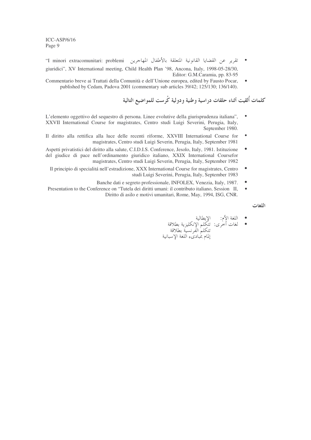- "I minori extracomunitari: problemi + • تقرير عن القضايا القانونية المتعلقة بالأطفال المه giuridici", XV International meeting, Child Health Plan '98, Ancona, Italy, 1998-05-28/30, Editor: G.M.Caramia, pp. 83-95
- Commentario breve ai Trattati della Comunità e dell'Unione europea, edited by Fausto Pocar, published by Cedam, Padova 2001 (commentary sub articles 39/42; 125/130; 136/140).

كلمات ألقيت أثناء حلقات دراسية وطنية ودولية كُرست للمواضيع التالية

- L'elemento oggettivo del sequestro di persona. Linee evolutive della giurisprudenza italiana", · XXVII International Course for magistrates, Centro studi Luigi Severini, Perugia, Italy, September 1980.
- Il diritto alla rettifica alla luce delle recenti riforme, XXVIII International Course for  $\bullet$ magistrates, Centro studi Luigi Severin, Perugia, Italy, September 1981
- Aspetti privatistici del diritto alla salute, C.I.D.I.S. Conference, Jesolo, Italy, 1981. Istituzione del giudice di pace nell'ordinamento giuridico italiano, XXIX International Coursefor magistrates, Centro studi Luigi Severin, Perugia, Italy, September 1982
	- Il principio di specialitá nell'estradizione, XXX International Course for magistrates, Centro studi Luigi Severini, Perugia, Italy, September 1983
		- Banche dati e segreto professionale, INFOLEX, Venezia, Italy, 1987.
- Presentation to the Conference on "Tutela dei diritti umani: il contributo italiano, Session II,  $\bullet$ Diritto di asilo e motivi umanitari, Rome, May, 1994, ISG, CNR.

اللغات

- اللغة الأم: الإيطالية
- المعتقد منهم.<br>• لغات أخرى: تتكلّم الإنكليزية بطلاقة تتكلم الفرنسية بطلاقة إلمام بمبادىء اللغة الإسبانية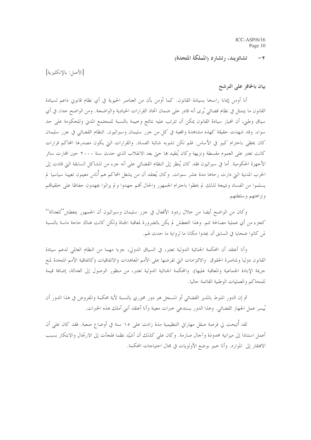تشاتويند، رتشارد (المملكة المتحدة)  $-7$ 

[الأصل: بالإنكليزية]]

### بيان بالحافز على الترشح

أنا أومن إيمانا راسخا بسيادة القانون. كما أومن بأن من العناصر الحيوية في أي نظام قانوين داعم لسيادة القانون ما يتمثل في نظام قضائي يُرى أنه قادر على ضمان اتخاذ القرارات الحيادية والواضحة. ومن الواضح حدا، في أي سياق وطني، أن الهيار سيادة القانون يمكن أن تترتب عليه نتائج وخيمة بالنسبة للمحتمع المديي وللحكومة على حد سواءٍ. وقد شهدت حقيقة كهذه مشاهدة واقعية في كلِّ من جزر سليمان وسيراليون. النظام القضائي في جزر سليمان كان يحظى باحترام كبير في الأساس. فلم تكن تشوبه شائبة الفساد. والقرارات التي يكون مصدرها المحاكم قرارات كانت تعتبر على العموم مقسطة ونزيهة وكان يُتقيد هِا حيّ بعد الانقلاب الذي حدث سنة ٢٠٠٠ حين الهارت سائر الأجهزة الحكومية. أما في سيراليون فقد كان يُنظر إلى النظام القضائي على أنه جزء من المشاكل السابقة التي قادت إلى الحرب المدنية التي دارت رحاها مدة عشر سنوات. وكان يُعتقد أن من يشغل المحاكم هم أناس معينون تعيينا سياسيا لم يسلموا من الفساد ونتيجة لذلك لم يحظوا باحترام الجمهور والحال أفمم جهدوا ولم يزالوا يجهدون حفاظا على حلقياقمم ونزاهتهم وسلطتهم.

وكان من الواضح أيضا من خلال ردود الأفعال في جزر سليمان وسيراليون أن الجمهور يتعطش"للعدالة" كجزء من أي عملية مصالحة تتم. وهذا التعطش لم يكن بالضرورة لمعاقبة الجناة ولكن كانت هناك حاجة ماسة بالنسبة لمن كانوا ضحايا في السابق أن يجدوا مكانا ما لرواية ما حدث لهم.

وأنا أعتقد أن المحكمة الجنائية الدولية تعتبر، في السياق الدولي، جزءا مهما من النظام العالمي لدعم سيادة القانون دوليا ولمناصرة الحقوق والالتزامات التي تفرضها على الأمم المعاهدات والاتفاقيات (كاتفاقية الأمم المتحدة لمنع جريمة الإبادة الجماعية والمعاقبة عليها). والمحكمة الجنائية الدولية تعتبر، من منظور الوصول إلى العدالة، إضافة قيمة للمحاكم والعمليات الوطنية القائمة حاليا.

ثم إن الدور المنوط بالمدير القضائي أو المسجل هو دور محوري بالنسبة لأية محكمة والمفروض في هذا الدور أن يُيسر عمل الجهاز القضائي. وهذا الدور يستدعى خبرات معينة وأنا أعتقد أنني أملك هذه الخبرات.

لقد أتيحت لى فرصة صقل مهاراتي التنظيمية مدة زادت على ١٥ سنة في أوضاع صعبة. فقد كان على أن أعمل استنادا إلى ميزانية محدودة وآجال صارمة. وكان على كذلك أن أشيِّد نظما فلجأت إلى الارتجال والابتكار بسبب الافتقار إلى الموارد. وأنا حبير بوضع الأولويات في مجال احتياجات المحكمة.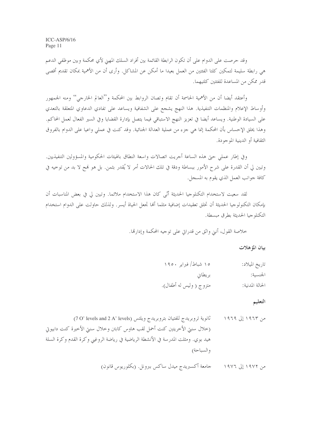وقد حرصت على الدوام على أن تكون الرابطة القائمة بين أفراد السلك المهنى لأي محكمة وبين موظفي الدعم هي رابطة سليمة لتمكين كلتا الفئتين من العمل بعيدا ما أمكن عن المشاكل. وأرى أن من الأهمية بمكان تقديم أقصى قدر ممكن من المساعدة للفتتين كلتيهما.

وأعتقد أيضا أن من الأهمية الحاسمة أن تقام وتصان الروابط بين المحكمة و''العالم الخارجي'' ومنه الجمهور وأوساط الإعلام والمنظمات التنفيذية. هذا النهج يشجع على الشفافية ويساعد على تفادي الدعاوي المتعلقة بالتعدي على السيادة الوطنية. ويساعد أيضا في تعزيز النهج الاستباقي فيما يتصل بإدارة القضايا وفي السير الفعال لعمل المحاكم. وهذا يخلق الإحساس بأن المحكمة إنما هي جزء من عملية العدالة الجنائية. وقد كنت في عملي واعيا على الدوام بالفروق الثقافية أو الدينية الموجودة.

وفي إطار عملي حتى هذه الساعة أجريت اتصالات واسعة النطاق بالهيئات الحكومية والمسؤولين التنفيذيين. وتبين لي أن القدرة على شرح الأمور ببساطة ودقة في تلك الحالات أمر لا يُقدر بثمن. بل هو نمح لا بد من توخيه في كافة جوانب العمل الذي يقوم به المسجل.

لقد سعيت لاستخدام التكنلوجيا الحديثة أنّي كان هذا الاستخدام ملائما. وتبين لي في بعض المناسبات أن بإمكان التكنولوجيا الحديثة أن تخلق تعقيدات إضافية مثلما ألها تجعل الحياة أيسر. ولذلك حاولت على الدوام استخدام التكنلوجيا الحديثة بطرق مبسطة.

خلاصة القول، أنني واثق من قدراتي على توجيه المحكمة وإدارتها.

بيان المؤهلات

| تاريخ الميلاد:  | ۱۰ شباط/ فبراير ۱۹۰۰    |
|-----------------|-------------------------|
| الجنسية:        | بريطاني                 |
| الحالة المدنية: | متزوج ( وليس له أطفال). |

التعليم

ثانوية تروبريدج للفتيان بتروبريدج ويلتس (70' levels and 2 A' levels) من ۱۹۶۳ إلى ۱۹۶۹ (خلال سنتي الأخريتين كنت أحمل لقب هاوس كابتن وخلال سنتي الأخيرة كنت دابيوتي هيد بوي. ومثلت المدرسة في الأنشطة الرياضية في رياضة الروغبي وكرة القدم وكرة السلة والسباحة)

> جامعة أكسبريدج ميدل ساكس ببرونل. (بكلوريوس قانون) من ١٩٧٢ إلى ١٩٧٦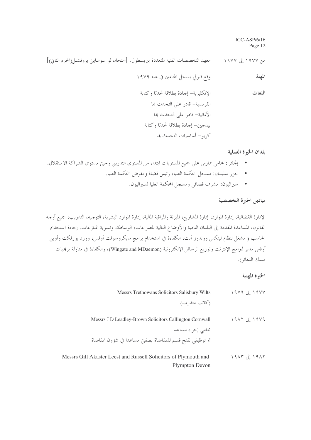معهد التخصصات الفنية المتعددة ببريسطول. [امتحان لو سوسايتي بروفشنل(الجزء الثاني)] من ۱۹۷۷ إلى ۱۹۷۷

> وقع قبولي بسجل المحامين في عام ١٩٧٩ المهنة الإنكليزية– إجادة بطلاقة تحدثا وكتابة اللغات الفرنسية- قادر على التحدث ها الألمانية- قادر على التحدث ها بيدحين– إجادة بطلاقة تحدثا وكتابة كريو – أساسيات التحدث ها

> > بلدان الخبرة العملية

• إنجلترا: محامي ممارس على جميع المستويات ابتداء من المستوى التدريبي وحتى مستوى الشراكة الاستقلال. جزر سليمان: مسجل المحكمة العليا، رئيس قضاة ومفوض المحكمة العليا.  $\blacksquare$ • سيراليون: مشرف قضائي ومسجل المحكمة العليا لسيراليون.

#### ميادين الخبرة التخصصية

الإدارة القضائية، إدارة الموارد، إدارة المشاريع، الميزنة والمراقبة المالية، إدارة الموارد البشرية، التوجيه، التدريب، جميع أوجه القانون، المساعدة المقدمة إلى البلدان النامية والأوضاع التالية للصراعات، الوساطة، وتسوية المنازعات. إحادة استخدام الحاسب ( مشغل لنظام لينكس ووندوز أنت، الكفاءة في استخدام برامج مايكروسوفت أوفس، وورد بورفكت وأوبن أوفس مدبر لبرامج الإنترنت وتوزيع الرسائل الإلكترونية (Wingate and MDaemon)، والكفاءة في مناولة برمجيات مسك الدفاتر ).

# الخبرة المهنية

- $1919L191$ Messrs Trethowans Solicitors Salisbury Wilts (کاتب متدرب)  $1917 L111949$ Messrs J D Leadley-Brown Solicitors Callington Cornwall محامى إجراء مساعد تم توظيفي لفتح قسم للمقاضاة بصفتي مساعدا في شؤون المقاضاة
- Messrs Gill Akaster Leest and Russell Solicitors of Plymouth and  $1917 \text{ L} 1917$ Plympton Devon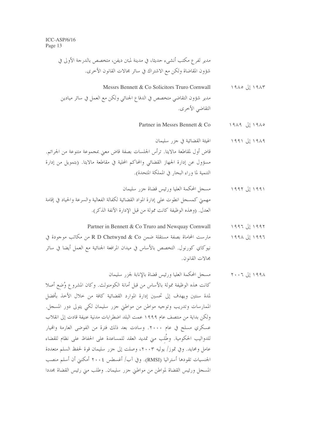- Messrs Bennett & Co Solicitors Truro Cornwall  $19\lambda0 \cup 19\lambda7$ مدير شؤون التقاضي متخصص في الدفاع الجنائي ولكن مع العمل في سائر ميادين التقاضي الأخرى.
	- Partner in Messrs Bennett & Co.  $1919$   $11910$
- $1991 \text{ L}1919$ الهيئة القضائية في جزر سليمان قاض أول لمقاطعة مالايتا. ترأس الجلسات بصفة قاض معنى بمجموعة متنوعة من الجرائم. مسؤول عن إدارة الجهاز القضائي والمحاكم المحلية في مقاطعة مالايتا. (بتمويل من إدارة التنمية لما وراء البحار في المملكة المتحدة).
- مسجل المحكمة العليا ورئيس قضاة جزر سليمان ۱۹۹۱ إلى ۱۹۹۲ مهميت كمسجل انطوت على إدارة المواد القضائية لكفالة الفعالية والسرعة والحياد في إقامة العدل. (وهذه الوظيفة كانت ممولة من قبل الإدارة الآنفة الذكر).

#### Partner in Bennett & Co Truro and Newquay Cornwall  $1997 \cup 1997$

- مارست المحاماة بصفة مستقلة ضمن R D Chetwynd & Co من مكاتب موجودة في  $1991$   $1997$ نيوكاي كورنول. التخصص بالأساس في ميدان المرافعة الجنائية مع العمل أيضا في سائر مجالات القانون.
- مسحل المحكمة العليا ورئيس قضاة بالإنابة لجزر سليمان  $Y \cdot Y$  } } 991 كانت هذه الوظيفة ممولة بالأساس من قبل أمانة الكومنولث. وكان المشروع وُضع أصلا لمدة سنتين ويهدف إلى تحسين إدارة الموارد القضائية كافة من حلال الأحذ بأفضل الممارسات وتدريب وتوجيه مواطن من مواطني جزر سليمان لكي يتولى دور المسجل. ولكن بداية من منتصف عام ١٩٩٩ عمت البلد اضطرابات مدنية عنيفة قادت إلى انقلاب عسكري مسلح في عام ٢٠٠٠. وسادت بعد ذلك فترة من الفوضى العارمة والهيار للدواليب الحكومية. وطُلب منى تمديد العقد للمساعدة على الحفاظ على نظام للقضاء عامل ومحايد. وفي تموز/ يوليه ٢٠٠٣، وصلت إلى جزر سليمان قوة لحفظ السلم متعددة الجنسيات تقودها أستراليا (RMSI). وفي آب/ أغسطس ٢٠٠٤ أمكنني أن أسلم منصب المسجل ورئيس القضاة لمواطن من مواطني جزر سليمان. وطلب مني رئيس القضاة مجددا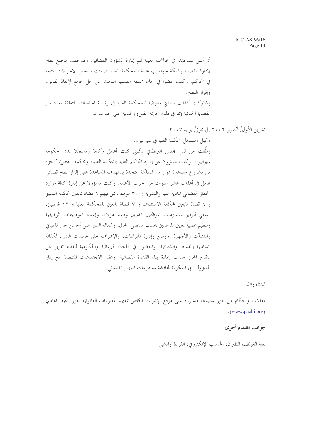أن أبقى لمساعدته في مجالات معينة قمم إدارة الشؤون القضائية. وقد قمت بوضع نظام لإدارة القضايا وشبكة حواسيب محلية للمحكمة العليا تضمنت تسحيل الإحراءات المتبعة في المحاكم. وكنت عضوا في لجان مختلفة مهمتها البحث عن حل حامع لإنفاذ القانون وإقرار النظام. وشاركت كذلك بصفيت مفوضا للمحكمة العليا في رئاسة الجلسات المتعلقة بعدد من القضايا الجنائية (بما في ذلك جريمة القتل) والمدنية على حد سواء.

وكيل ومسجل المحكمة العليا في سيراليون. وُظِّفت من قبل المجلس البريطاني لكنني كنت أعمل وكيلا ومسجلا لدى حكومة سيراليون. وكنت مسؤولا عن إدارة المحاكم العليا (المحكمة العليا، ومحكمة النقض) كجزء من مشروع مساعدة ممول من المملكة المتحدة يستهدف المساعدة على إقرار نظام قضائي عامل في أعقاب عشر سنوات من الحرب الأهلية. وكنت مسؤولا عن إدارة كافة موارد الجهاز القضائي المادية منها والبشرية (٣٠٠ موظف بمن فيهم ٦ قضاة تابعين لمحكمة التمييز و ٦ قضاة تابعين لمحكمة الاستئناف و ٧ قضاة تابعين للمحكمة العليا و ١٢ قاضيا). السعى لتوفير مستلزمات الموظفين الفنيين ودعم هؤلاء، وإعداد التوصيفات الوظيفية وتنظيم عملية تعيين الموظفين بحسب مقتضى الحال. وكفالة السير على أحسن حال للمباني والمنشآت والأحهزة. ووضع وإدارة الميزانيات. والإشراف على عمليات الشراء لكفالة اتسامها بالقسط والشفافية. والحضور في اللحان البرلمانية والحكومية لتقديم تقرير عن التقدم المحرز صوب إعادة بناء القدرة القضائية. وعقد الاحتماعات المنتظمة مع إدار المسؤولين في الحكومة لمناقشة مستلزمات الجهاز القضائي.

المنشورات

مقالات وأحكام من جزر سليمان منشورة على موقع الإنترنت الخاص بمعهد المعلومات القانونية لجزر المحيط الهادي .(www.paclii.org)

جوانب اهتمام أخرى

لعبة الغولف، الطيران، الحاسب الإلكترويي، القراءة والمشي.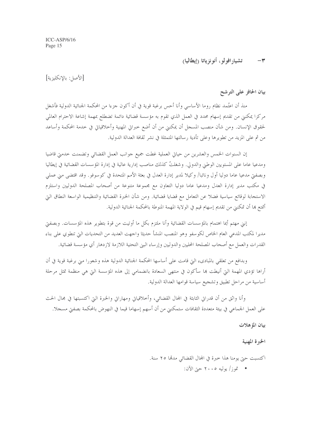> تشيار افولو ، أنونزياتا (إيطاليا)  $-\tau$

[الأصل: بالانكليزية]

بيان الحافز على الترشح

منذ أن اعتُمد نظام روما الأساسي وأنا أحس برغبة قوية في أن أكون جزءا من المحكمة الجنائية الدولية فأشغل مركزا يمكنني من تقديم إسهام محدد في العمل الذي تقوم به مؤسسة قضائية دائمة تضطلع بمهمة إشاعة الاحترام العالمي لحقوق الإنسان. ومن شأن منصب المسحل أن يمكنني من أن أضع حبراتي المهنية وأحلاقياتي في خدمة المحكمة وأساعد من ثم على المزيد من تطويرها وعلى تأدية , سالتها المتمثلة في نشر ثقافة العدالة الدولية.

إن السنوات الخمس والعشرين من حياتي العملية غطت جميع حوانب العمل القضائي وتضمنت حدمتي قاضيا ومدعيا عاما على المستويين الوطني والدولي. وشغلتُ كذلك مناصب إدارية عالية في إدارة المؤسسات القضائية في إيطاليا وبصفيت مدعيا عاما دوليا أول ونائبا/ وكيلا لمدير إدارة العدل في بعثة الأمم المتحدة في كوسوفو . وقد اقتضى مين عملي في مكتب مدير إدارة العدل ومدعيا عاما دوليا التعاون مع مجموعة متنوعة من أصحاب المصلحة الدوليين واستلزم الاستحابة لوقائع سياسية فضلا عن التعامل مع قضايا قضائية. ومن شأن الخبرة القضائية والتنظيمية الواسعة النطاق التي أُتمتع هِا أن تمكنين من تقديم إسهام قيم في الولاية المهمة المنوطة بالمحكمة الجنائية الدولية.

إنني مهتم أيما اهتمام بالمؤسسات القضائية وأنا ملتزم بكل ما أوتيت من قوة بتطوير هذه المؤسسات. وبصفتي مديرا لمكتب المدعى العام الخاص لكوسفو وهو المنصب المنشأ حديثا واجهت العديد من التحديات التي تنطوي على بناء القدرات والعمل مع أصحاب المصلحة المحليين والدوليين وإرساء البيي التحتية اللازمة لازدهار أي مؤسسة قضائية.

وبدافع من تعلقي بالمباديء التيّ قامت على أساسها المحكمة الجنائية الدولية هذه وشعورا ميي برغبة قوية في أن أراها تؤدي المهمة التي أنيطت ها سأكون في منتهى السعادة بانضمامي إلى هذه المؤسسة التي هي منظمة تمثل مرحلة أساسية من مراحل تطبيق وتشجيع سياسة قوامها العدالة الدولية.

وأنا واثق من أن قدراتي الثابثة في المحال القضائي، وأخلاقياتي ومهاراتي والخبرة التي اكتسبتها في مجال الحث على العمل الجماعي في بيئة متعددة الثقافات ستمكنين من أن أسهم إسهاما قيما في النهوض بالمحكمة بصفيٍّ مسجلاً.

بيان المؤهلات

الخبرة المهنية

اكتسبت حيّ يومنا هذا حبرة في المجال القضائي مدهّا ٢٥ سنة.

• تموز/ يوليه ٢٠٠٥ حيّ الآن: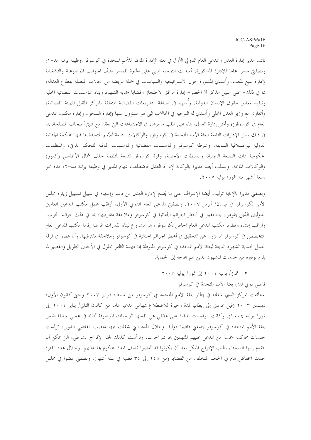نائب مدير إدارة العدل والمدعى العام الدولي الأول في بعثة الإدارة المؤقتة للأمم المتحدة في كوسوفو روظيفة برتبة مد–١٦ وبصفيّ مديرا عاما للإدارة المذكورة، أسديت التوحيه المبني على الخبرة للمدير بشأن الجوانب الموضوعية والتشغيلية لإدارة سبع شُعب. وأسدي المشورة حول الاستراتيجية والسياسات في جملة عريضة من المحالات المتصلة بقطاع العدالة، بما في ذلك– على سبيل الذكر لا الحصر– إدارة مرافق الاحتجاز وقضايا حماية الشهود وبناء المؤسسات القضائية المحلية وتنفيذ معايير حقوق الإنسان الدولية. وأُسهم في صياغة التشريعات القضائية المتعلقة بالمركز المقبل للهيئة القضائية؛ وأتعاون مع وزير العدل المحلي وأسدي له التوحيه في المحالات التي هو مسؤول عنها (إدارة السحون وإدارة مكتب المدعى العام في كوسوفو)؛ وأمثل إدارة العدل، بناء على طلب مديرها، في الاجتماعات التي تعقد مع شيّ أصحاب المصلحة، بما في ذلك سائر الإدارات التابعة لبعثة الأمم المتحدة في كوسوفو، والوكالات التابعة للأمم المتحدة بما فيها المحكمة الجنائية الدولية ليوغسلافيا السابقة، وشرطة كوسوفو والمؤسسات القضائية والمؤسسات المؤقتة للحكم الذاتي، والمنظمات الحكومية ذات الصبغة الدولية، والسلطات الأجنبية، وقوة كوسوفو التابعة لمنظمة حلف شمال الأطلسي (كفور) والوكالات المانحة. وعملت أيضا مديرا بالوكالة لإدارة العدل فاضطلعت بمهام المدير في وظيفة برتبة مد–٢، مدة نحو تسعة أشهر منذ تموز/ يوليه ٢٠٠٥.

وبصفيٍّ مديرًا باﻹنابة توليت أيضا اﻹشراف على ما يُقدم ﻹدارة العدل من دعم وٳسهام في سبيل تسهيل زيارة مجلس الأمن لكوسوفو في نيسان/ أبريل ٢٠٠٧. وبصفتي المدعى العام الدولي الأول، أراقب عمل مكتب المدعين العامين الدوليين الذين يقومون بالتحقيق في أخطر الجرائم الجنائية في كوسوفو وبملاحقة مقترفيها، بما في ذلك جرائم الحرب. وأراقب إنشاء وتطوير مكتب المدعى العام الخاص لكوسوفو وهو مشروع لبناء القدرات غرضه إقامة مكتب المدعى العام المتخصص في كوسوفو المسؤول عن التحقيق في أحطر الجرائم الجنائية في كوسوفو وملاحقة مقترفيها. وأنا عضو في فرقة العمل لحماية الشهود التابعة لبعثة الأمم المتحدة في كوسوفو المنوطة بما مهمة الظفر بحلول في الأحلين الطويل والقصير لما يلزم توفيره من خدمات للشهود الذين هم بحاجة إلى الحماية.

• قوز / يوليه ٢٠٠٤ إلى قموز / يوليه ٢٠٠٥

قاضي دولي لدى بعثة الأمم المتحدة في كوسوفو

استأنفت المركز الذي شغلته في إطار بعثة الأمم المتحدة في كوسوفو من شباط/ فبراير ٢٠٠٣ وحتى كانون الأول/ ديسمبر ٢٠٠٣ (قبل عودتي إلى إيطاليا لمدة وجيزة للاضطلاع بمهامي مدعيا عاما من كانون الثاني/ يناير ٢٠٠٤ إلى تموز/ يوليه ٢٠٠٤). وكانت الواجبات الملقاة على عاتقي هي نفسها الواجبات الموصوفة أدناه في عملي سابقا ضمن بعثة الأمم المتحدة في كوسوفو بصفتي قاضيا دوليا. وخلال المدة التي شغلت فيها منصب القاضي الدولي، ترأست جلسات محاكمة خمسة من المدعى عليهم المتهمين بجرائم الحرب. وترأست كذلك لجنة الإفراج الشرطي، التي يمكن أن يتقدم إليها السجناء بطلب الإفراج المبكر بعد أن يكونوا قد أمضوا نصف المدة المحكوم ها عليهم. وحلال هذه الفترة حدث انخفاض هام في الحجم المتخلف من القضايا (من ٢٤٤ إلى ٣٤ قضية في ستة أشهر). وبصفيٍّ عضوا في مجلس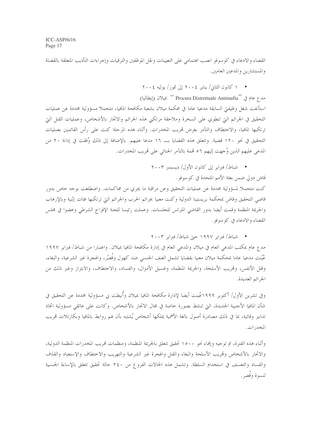القضاء والادعاء في كوسوفو انصب اهتمامي على التعيينات ونقل الموظفين والترقيات وإجراءات التأديب المتعلقة بالقضاة والمستشارين والمدعين العامين.

۱ کانون الثانی/ پنایر ۲۰۰٤ إلى تموز/ یولیه ۲۰۰٤

مدع عام في ''Procura Distrettuale Antimafia '' بميلان (إيطاليا)

استأنفت شغل وظيفتي السابقة مدعيا عاما في محكمة ميلان بشعبة مكافحة المافيا، متحملا مسؤولية محددة عن عمليات التحقيق في الجرائم التي تنطوي على السخرة وملاحقة مرتكبي هذه الجرائم والاتجار بالأشخاص، وعمليات القتل التي ترتكبها المافيا، والاختطاف والتآمر بغرض قمريب المخدرات. وأثناء هذه المرحلة كنت على رأس القائمين بعمليات التحقيق في نحو ١٢٠ قضية. وتتعلق هذه القضايا بـــ ١٦ مدعا عليهم. بالإضافة إلى ذلك وُفقت في إدانة ٢٠ من المدعى عليهم الذين وُجهت إليهم ٥٦ قممة بالتآمر الجنائي على قمريب المخدرات.

شباط/ فبراير إلى كانون الأول/ ديسمبر ٢٠٠٣

قاض دولي ضمن بعثة الأمم المتحدة في كوسوفو.

كنت متحملا لمسؤولية محددة عن عمليات التحقيق وعن مراقبة ما يجري من محاكمات. واضطلعت بوجه خاص بدور قاضي التحقيق وقاض بمحكمة بريستينا الدولية وكنت معنيا بجرائم الحرب والجرائم التي ترتكبها فئات إثنية وبالإرهاب والجريمة المنظمة وقمت أيضا بدور القاضي المترئس للحلسات. وعملت رئيسا للجنة الإفراج الشرطي وعضوا في مجلس القضاء والادعاء في كوسوفو .

شباط/ فبراير ١٩٩٧ حتى شباط/ فبراير ٢٠٠٣

مدع عام بمكتب المدعى العام في ميلان والمدعى العام في إدارة مكافحة المافيا بميلان. واعتبارا من شباط/ فبراير ١٩٩٧ عُيّنت مدعيا عاما بمحكمة ميلان معنيا بقضايا تشمل العنف الجنسي ضد كهول وقَصّر، والهجرة غير الشرعية، والبغاء، وقتل الأنفس، وقمريب الأسلحة، والجريمة المنظمة، وغسيل الأموال، والفساد، والاختطاف، والابتزاز وغير ذلك من الجرائم العديدة.

وفي تشرين الأول/ أكتوبر ١٩٩٩عُينت أيضا لإدارة مكافحة المافيا بميلان وأنيطت بي مسؤولية محددة عن التحقيق في شأن المافيا الأجنبية الجديدة، التي تنشط بصورة خاصة في مجال الاتجار بالأشخاص. وكانت على عاتقي مسؤولية اتخاذ تدابير وقائية، بما في ذلك مصادرة أصول بالغة الأهمية يملكها أشخاص يُشتبه بأن لهم روابط بالمافيا وبكارتلات تمريب المخدرات.

وأثناء هذه الفترة، تم توجيه وإنهاء نحوٍ ١٥٠٠ تحقيق تتعلق بالجريمة المنظمة، ومنظمات قمريب المخدرات المنظمة الدولية، والاتحار بالأشخاص وقمريب الأسلحة والبغاء والقتل والهجرة غير الشرعية والتهريب والاختطاف والإستعباد والقذف والفساد والتعسف في استخدام السلطة. وتشمل هذه الحالات الفروغ من ٢٤٠ حالة تحقيق تتعلق بالإساءة الجنسية لنسوة وقُصر .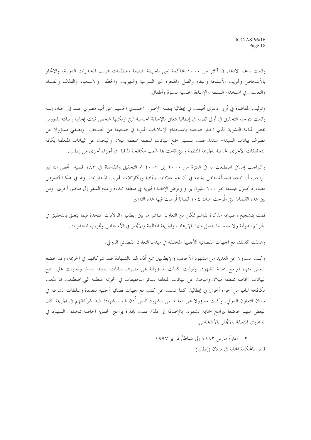وقمت بدعم الادعاء في أكثر من ١٠٠٠ محاكمة تعني بالجريمة المنظمة ومنظمات قمريب المخدرات الدولية، والاتحار بالأشخاص وقمريب الأسلحة والبغاء والقتل والهجرة غير الشرعية والتهريب والخطف والاستعباد والقذف والفساد والتعسف في استخدام السلطة والإساءة الجنسية لنسوة وأطفال.

وتوليت المقاضاة في أولى دعوى أقيمت في إيطاليا بتهمة الإضرار الجسدي الجسيم بحق أب مصري عمد إلى ختان إبنته وقمت بتوجيه التحقيق في أولى قضية في إيطاليا تتعلق بالإساءة الجنسية التي ارتكبها شخص ثبتت إيجابية إصابته بفيروس نقص المناعة البشرية الذي اختار ضحيته باستخدام الإعلانات المبوبة في صحيفة من الصحف. وبصفيٍّ مسؤولاً عن مصرف بيانات السيدا– سدنا، قمت بتنسيق جمع البيانات المتعلقة بمنطقة ميلان والبحث عن البيانات المتعلقة بكافة التحقيقات الأخرى الخاصة بالجريمة المنظمة والتي قامت بما شُعب مكافحة المافيا في أجزاء أخرى من إيطاليا.

وكواجب إضافي اضطلعت به في الفترة من ٢٠٠٠ إلى ٢٠٠٣ تم التحقيق والمقاضاة في ١٨٣ قضية تخص التدابير الواحب أن تتخذ ضد أشخاص يشتبه في أن لهم علاقات بالمافيا وبكارتلات قمريب المخدرات. وتم في هذا الخصوص مصادرة أصول قيمتها نحو ١٠٠ مليون يورو وفرض الإقامة الجبرية في منطقة محددة وعدم السفر إلى مناطق أحرى. ومن بين هذه القضايا التي طُرحت هناك ١٠٤ قضايا فُرضت فيها هذه التدابير.

قمت بتشجيع وصياغة مذكرة تفاهم تمكن من التعاون المباشر ما بين إيطاليا والولايات المتحدة فيما يتعلق بالتحقيق في الجرائم الدولية ولا سيما ما يتصل منها بالإرهاب والجريمة المنظمة والاتجار في الأشخاص وقمريب المخدرات.

وعملت كذلك مع الجهات القضائية الأحنبية المختلفة في ميدان التعاون القضائي الدولي.

وكنت مسؤولا عن العديد من الشهود الأحانب والإيطاليين ممن أذن لهم بالشهادة ضد شركائهم في الجريمة، وقد خضع البعض منهم لبرامج حماية الشهود. وتوليت كذلك المسؤولية عن مصرف بيانات السيدا-سدنا وتعاونت على جمع البيانات الخاصة بمنطقة ميلان والبحث عن البيانات المتعلقة بسائر التحقيقات في الجريمة المنظمة التي اضطلعت بما شُعب مكافحة المافيا من أجزاء أخرى في إيطاليا. كما عملت عن كثب مع جهات قضائية أجنبية متعددة وسلطات الشرطة في ميدان التعاون الدولي. وكنت مسؤولا عن العديد من الشهود الذين أذن لهم بالشهادة ضد شركائهم في الجريمة كان البعض منهم خاضعا لبرامج حماية الشهود. بالإضافة إلى ذلك قمت بإدارة برامج الحماية الخاصة بمختلف الشهود في الدعاوى المتعلقة بالاتحار بالأشخاص.

> ● آذار / مارس ۱۹۸۳ إلى شباط/ فبراير ۱۹۹۷ قاض بالمحكمة المحلية في ميلان (إيطاليا)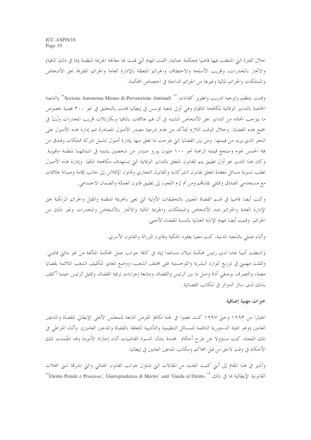خلال الفترة التي اشتغلت فيها قاضيا بمحكمة جنائية، شملت المهام التي قمت بما معالجة الجريمة المنظمة (بما في ذلك المافيا) والاتحار بالمخدرات، وقمريب الأسلحة والاختطاف والجرائم المتعلقة بالإدارة العامة والجرائم المقترفة بحق الأشخاص والممتلكات والجرائم المالية وغيرها من الجرائم الداحلة في اختصاص المحكمة.

وقمت بتنظيم وتوجيه تدريب وتطوير كفاءات '' Sezione Autonoma Misure di Prevenzione Antimafi'' (الشعبة الخاصة بالتدابير الوقائية لمكافحة المافيا) وهي أولى شعبة تؤسس في إيطاليا قامت بالتحقيق في نحو ٣٠٠ قضية بخصوص ما يتوحب اتخاذه من التدابير بحق الأشخاص المشتبه في أن لهم علاقات بالمافيا وبكارتلات تمريب المخدرات وبُتّ في جميع هذه القضايا. وحلال الوقت اللازم للتأكد من عدم شرعية مصدر الأصول المصادرة تتم إدارة هذه الأصول على النحو الذي يزيد من قيمتها. ومن بين القضايا التي طرحت ما تعلق منها بإدارة أصول تشمل شركة ممتلكات وفندق من فئة الخمس نجوم ومنتجع قيمته الراهنة نحو ١٠٠ مليون يورو صودر من شخصين يشتبه في انتمائهما لمنظمة مافيوية. وكان هذا التدبير هو أول تطبيق يتم للقانون المتعلق بالتدابير الوقائية التي تستهدف مكافحة المافيا. وإدارة هذه الأصول تطلب تسوية مسائل معقدة تتعلق بقانون الشركات والقانون التجاري وقانون الإفلاس إلى حانب إقامة وصيانة علاقات مع مستخدمي الفنادق وممثلي نقاباهم ومن ثم لزم اللجوء إلى تطبيق قانون العمالة والضمان الاجتماعي.

وكنت أيضا قاضيا في قسم القضاة المعنيين بالتحقيقات الأولية التي تعني بالجريمة المنظمة والقتل والجرائم المرتكبة بحق الإدارة العامة والجرائم ضد الأشخاص والممتلكات والجريمة المالية والاتحار بالأشخاص والمخدرات وغير ذلك من الجرائم. وقمت أيضا بمهام الإنابة العدلية بالنسبة للقضاء الأجنبي.

وأثناء عملم إبالشعبة المدنية، كنت معنيا بعقود الملكية وقانون الوراثة والقانون الأسري.

واشتغلت أمينا عاما لدى رئيس محكمة ميلان مساعدا إياه في كافة جوانب عمل المحكمة المتألفة من نحو مائتي قاضي. وتمثلت مهمتي في توزيع الموارد البشرية واللوحستية على مختلف الشعب، ووضع المعايير لتكليف الشعب الملائمة بقضايا معينة، والتصرف بوصفي أداة وصل ما بين الرئيس والقضاة، ومتابعة إجراءات ترقية القضاة، وتمثيل الرئيس حينما أكلف بذلك لدى سائر الدوائر في المكاتب القضائية.

# خبرات مهنية إضافية

اعتبارا من ١٩٩٣ وحج ١٩٩٧ كنت عضوا في لجنة تكافؤ الفرص التابعة للمجلس الأعلى الإيطالي للقضاة والمدعين العامين (وهو الهيئة الدستورية الناظمة للمسائل التنظيمية والتأديبية المتعلقة بالقضاة والمدعين العامين). وأثناء انخراطي في تلك اللجنة، كنت مسؤولا عن طرح أحكام ً محددة بشأن النسوة القاضيات أثناء إجازاة الأمومة وقد اعتُمدت تلك الأحكام في وقت لاحق من قبل المحاكم ومكاتب المدعين العامين في إيطاليا.

وأشير في هذا المقام إلى أنني كتبت العديد من المقالات التي تتناول حوانب القانون الجنائي والتي نشرقما شتي المحلات ''Diritto Penale e Processo', Giurisprudenza di Merito' and 'Guida al Diritto '' في ذلك '' Diritto Penale e Processo', Giurisprudenza di Merito' and 'Guida al Diritto ''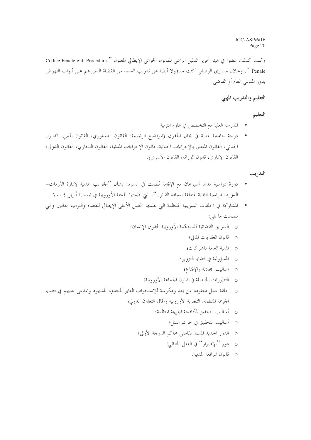وكنت كذلك عضوا في هيئة تحرير الدليل الرسمي للقانون الجزائي الإيطالي المعنون '' Codice Penale e di Procedura Penale ''. وخلال مساري الوظيفي كنت مسؤولا أيضا عن تدريب العديد من القضاة الذين هم على أبواب النهوض بدور المدعى العام أو القاضي.

# التعليم والتدريب المهني

التعليم

- المدرسة العليا مع التخصص في علوم التربية
- درجة جامعية عالية في مجال الحقوق (المواضيع الرئيسية: القانون الدستوري، القانون المدن، القانون الجنائي، القانون المتعلق بالإجراءات الجنائية، قانون الإجراءات المدنية، القانون التجاري، القانون الدولي، القانون الإداري، قانون الوراثة، القانون الأسرى).

التدريب

- دورة دراسية مدهّا أسبوعان مع الإقامة نُظمت في السويد بشأن ''الجوانب المدنية لإدارة الأزمات– الدورة الدراسية الثانية المتعلقة بسيادة القانون''، التي نظمتها اللجنة الأوروبية في نيسان/ أبريل ٢٠٠٤ .
- المشاركة في الحلقات التدريبية المنتظمة التي نظمها المحلس الأعلى الإيطالي للقضاة والنواب العامين والتي  $\bullet$ تضمنت ما يلي:
	- 0 السوابق القضائية للمحكمة الأوروبية لحقوق الإنسان؛
		- o قانون العقوبات المالي؛
		- o المالية العامة للشركات؛
		- o المسؤولية في قضايا التزوير؛
		- o أساليب المحادلة والإقناع؛
		- 0 التطورات الحاصلة في قانون الجماعة الأوروبية؛
- حلقة عمل معقودة عن بعد ومكرسة للإستجواب العابر للحدود للشهود والمدعى عليهم في قضايا الجريمة المنظمة. التجربة الأوروبية وآفاق التعاون الدولي؛
	- أساليب التحقيق لمكافحة الجريمة المنظمة؛
		- 0 أساليب التحقيق في حرائم القتل؛
	- 0 الدور الجديد المسند لقاضي محاكم الدرجة الأولى؛
		- 0 دور ''الإصرار'' في الفعل الجنائب؛
			- 0 قانون المرافعة المدنية.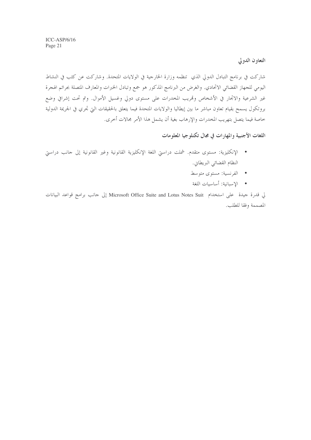التعاون الدولي

شاركت في برنامج التبادل الدولي الذي تنظمه وزارة الخارجية في الولايات المتحدة. وشاركت عن كثب في النشاط اليومي للجهاز القضائي الاتحادي. والغرض من البرنامج المذكور هو جمع وتبادل الخبرات والمعارف المتصلة بجرائم الهجرة غير الشرعية والاتجار في الأشخاص وقمريب المخدرات على مستوى دولي وغسيل الأموال. وتم تحت إشرافي وضع بروتكول يسمح بقيام تعاون مباشر ما بين إيطاليا والولايات المتحدة فيما يتعلق بالحقيقات التي تجري في الجريمة الدولية خاصة فيما يتصل بتهريب المخدرات والإرهاب بغية أن يشمل هذا الأمر محالات أخرى.

اللغات الأجنبية والمهارات في مجال تكنلوجيا المعلومات

- الإنكليزية: مستوى متقدم. شملت دراستي اللغة الإنكليزية القانونية وغير القانونية إلى حانب دراستي النظام القضائي البريطاني.
	- الفرنسية: مستوى متوسط
	- الإسبانية: أساسيات اللغة

لي قدرة جيدة على استخدام Microsoft Office Suite and Lotus Notes Suit إلى حانب برامج قواعد البيانات المصممة وفقا للطلب.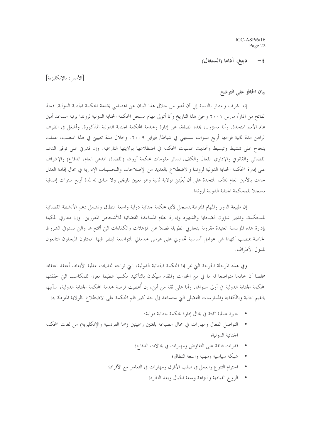#### دينغ، آداما (السنغال)  $-\xi$

[الأصل: بالانكليزية]

بيان الحافز على الترشح

إنه لشرف وامتياز بالنسبة إلى أن أعبر من حلال هذا البيان عن اهتمامي بخدمة المحكمة الجناية الدولية. فمنذ الفاتح من آذار/ مارس ٢٠٠١ وحتى هذا التاريخ وأنا أتولى مهام مسجل المحكمة الجناية الدولية لروندا برتبة مساعد أمين عام الأمم المتحدة. وأنا مسؤول، هذه الصفة، عن إدارة وخدمة المحكمة الجناية الدولية المذكورة. وأشغل في الظرف الراهن مدة ثانية قوامها أربع سنوات ستنتهي في شباط/ فبراير ٢٠٠٩. وخلال مدة تعييني في هذا المنصب، عملت بنجاح على تنشيط وتبسيط وتحديث عمليات المحكمة في اضظلاعها بولايتها التاريخية. وإن قدرتي على توفير الدعم القضائي والقانوين والإداري الفعال والكفء لسائر مقومات محكمة أروشا (القضاة، المدعى العام، الدفاع) والإشراف على إدارة المحكمة الجناية الدولية لروندا والاضطلاع بالعديد من الإصلاحات والتحسينات الإدارية في مجال إقامة العدل حدت بالأمين العام للأمم المتحدة على أن يُعيّنني لولاية ثانية وهو تعيين تاريخي ولا سابق له لمدة أربع سنوات إضافية مسجلا للمحكمة الجناية الدولية لروندا.

إن طبيعة الدور والمهام المنوطة بمسجل لأي محكمة جنائية دولية واسعة النطاق وتشمل دعم الأنشطة القضائية للمحكمة، وتدبير شؤون الضحايا والشهود وإدارة نظام المساعدة القضائية للأشخاص المعوزين. وإن معارفي المكينة بإدارة هذه المؤسسة العتيدة مقرونة بتحاربي الطويلة فضلا عن المؤهلات والكفاءات التي أتمتع بما والتي تستوفي الشروط الخاصة بمنصب كهذا لهى عوامل أساسية تحدوني على عرض خدماتي المتواضعة لينظر فيها الممثلون المبحلون التابعون للدول الأطراف.

وفي هذه المرحلة الحرحة التي تمر هما المحكمة الجنائية الدولية، التي تواحه تحديات عالمية الأبعاد، أعتقد اعتقادا مخلصا أن خادما متواضعا له ما لي من الخبرات والمقام سيكون بالتأكيد مكسبا عظيما معززا للمكاسب التي حققتها المحكمة الجناية الدولية في أولى سنوامًا. وأنا على ثقة من أنني، إن أُعطيت فرصة حدمة المحكمة الجناية الدولية، سآتيها بالقيم التالية وبالكفاءة والممارسات الفضلي التي ستساعد إلى حد كبير قلم المحكمة على الاضطلاع بالولاية المنوطة به:

- خبرة عملية ثابثة في مجال إدارة محكمة جنائية دولية؛
- التواصل الفعال ومهارات في مجال الصياغة بلغتين رسميتين (هما الفرنسية والإنكليزية) من لغات المحكمة الجنائية الدولية؛
	- قدرات فائقة على التفاوض ومهارات في مجالات الدفاع؛
		- شبكة سياسية ومهنية واسعة النطاق؛
	- احترام التنوع والعمل في صلب الأفرق ومهارات في التعامل مع الأفراد؛
		- الروح القيادية والنزاهة وسعة الخيال وبعد النظرة؛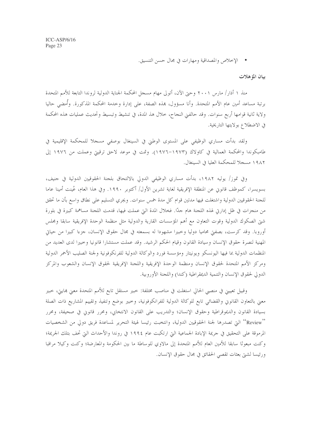• الإخلاص والمصداقية ومهارات في مجال حسن التنسيق.

بيان المؤهلات

منذ ١ أذار/ مارس ٢٠٠١ وحبّ الآن، أتولى مهام مسجل المحكمة الجناية الدولية لروندا التابعة للأمم المتحدة برتبة مساعد أمين عام الأمم المتحدة. وأنا مسؤول، هذه الصفة، على إدارة وخدمة المحكمة المذكورة. وأمضى حاليا ولاية ثانية قوامها أربع سنوات. وقد حالفني النجاح، خلال هذ المدة، في تنشيط وتبسيط وتحديث عمليات هذه المحكمة في الاضطلاع بولايتها التاريخية.

ولقد بدأت مساري الوظيفي على المستوى الوطني في السينغال بوصفي مسجلا للمحكمة الإقليمية في طامبكوندا والمحكمة العمالية في كاولاك (١٩٧٣–١٩٧٢). وتمت في موعد لاحق ترقيتي وعملت من ١٩٧٦ إلى ١٩٨٢ مسجلا للمحكمة العليا في السينغال.

وفي تموز/ يوليه ١٩٨٢، بدأت مساري الوظيفي الدولي بالالتحاق بلحنة الحقوقيين الدولية في حنيف، بسويسرا، كموظف قانون عن المنطقة الإفريقية لغاية تشرين الأول/ أكتوبر ١٩٩٠. وفي هذا العام، عُينت أمينا عاما للجنة الحقوقيين الدولية واشتغلت فيها مدتين قوام كل مدة خمس سنوات. ويجري التسليم على نطاق واسع بأن ما تحقق من منجزات في ظل إدارتي لهذه اللجنة هام جدًّا. فخلال المدة التي عملت فيها، قدمت اللجنة مساهمة كبيرة في بلورة شيت الصكوك الدولية وقوت التعاون مع أهم المؤسسات القارية والدولية مثل منظمة الوحدة الإفريقية سابقا ومجلس أوروبا. وقد كرست، بصفتي محاميا دوليا وخبيرا مشهودا له بسمعته في محال حقوق الإنسان، حزءا كبيرا من حياتي المهنية لنصرة حقوق الإنسان وسيادة القانون وقيام الحكم الرشيد. وقد عملت مستشارا قانونيا وخبيرا لدى العديد من المنظمات الدولية بما فيها اليونسكو ويونيتار ومؤسسة فورد والوكالة الدولية للفرنكوفونية ولجنة الصليب الأحمر الدولية ومركز الأمم المتحدة لحقوق الإنسان ومنظمة الوحدة الإفريقية واللجنة الإفريقية لحقوق الإنسان والشعوب والمركز الدولي لحقوق الإنسان والتنمية الديمقراطية (كندا) واللجنة الأوروبية.

وقبيل تعييني في منصبي الحالي استغلت في مناصب مختلفة: خبير مستقل تابع للأمم المتحدة معنى بمايتي، خبير معنى بالتعاون القانوي والقضائي تابع للوكالة الدولية للفرانكوفونية، وخبير بوضع وتنفيذ وتقييم المشاريع ذات الصلة بسيادة القانون والديموقراطية وحقوق الإنسان؛ والتدريب على القانون الانتخابي، ومحرر قانوني في صحيفة، ومحرر ''Review'' التي تصدرها لجنة الحقوقيين الدولية، وانتخبت رئيسا لهيئة التحرير لمساعدة فريق دولي من الشخصيات المرموقة على التحقيق في حريمة الإبادة الجماعية التي ارتكبت عام ١٩٩٤ في روندا والأحداث التي تحف بتلك الجريمة؛ وكنت مبعوثًا سابقًا للأمين العام للأمم المتحدة إلى مالاوي للوساطة ما بين الحكومة والمعارضة؛ وكنت وكيلا مراقبا ورئيسا لشيّ بعثات تقصى الحقائق في مجال حقوق الإنسان.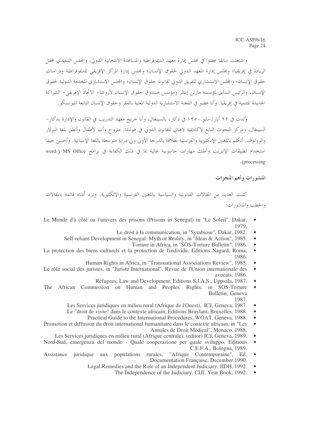واشتغلت سابقا عضوا في مجلس إدارة معهد الديموقراطية والمساعدة الانتخابية الدولي، والمجلس التنفيذي لمحفل الريادة في إفريقيا؛ ومجلس إدارة المعهد الدولي لحقوق الإنسان؛ ومجلس إدارة المركز الإفريقي للديموقراطية ودراسات حقوق الإنسان؛ والمجلس الاستشاري للفريق الدولي لقانون حقوق الإنسان؛ والمجلس الاستشاري للخدمة الدولية لحقوق الإنسان، والرئيس السابق لمؤسسة مارتن إينالز ومؤسس صندوق حقوق الإنسان لأروشا– الاتحاد الإفريقي– الشراكة الجديدة للتنمية في إفريقيا. وأنا عضو في اللجنة الاستشارية الدولية المعنية بالفقر وحقوق الانسان التابعة للبونسكو.

وُلدت في ٢٢ أيار/ مايو ١٩٥٠ في دكار، بالسينغال، وأنا خريج معهد التدريب في القانون والإدارة بدكار – السينغال، ومركز البحوث التابع لآكاديمية لاهاى للقانون الدولي في هولندا. متزوج وأب لأطفال وأنطق بلغة البولار والوولوف. أتكلم باللغتين الانكليزية والفرنسية بطلاقة بالدرجة الأولى ولى دراية متوسطة باللغة الاسبانية. وأحسن جيدا استخدام تطبيقات الإنترنت وأملك مهارات حاسوبية عالية بما في ذلك الكفاءة في برامج word-) MS Office .(processing

#### المنشورات وأهم المنجزات

كتبت العديد من المقالات القانونية والسياسية باللغتين الفرنسية والإنكليزية. وترد أدناه قائمة بالمقالات والخطب والمنشورات:

- Le Monde d'à côté ou l'univers des prisons (Prisons in Senegal) in "Le Soleil", Dakar, 1979
	- Le droit à la communication, in "Symbiose", Dakar, 1982.  $\bullet$
	- Self-reliant Development in Senegal: Myth or Reality, in "Ideas & Action", 1985.  $\bullet$ 
		- Torture in Africa, in "SOS-Torture Bulletin", 1986.  $\bullet$
- La protection des biens culturels et la protection de l'individu, Editions Nagard, Roma,  $\bullet$ 1986.
	- Human Rights in Africa, in "Transnational Associations Review", 1985.  $\bullet$
- Le rôle social des juristes, in "Juriste International", Revue de l'Union internationale des  $\bullet$ avocats, 1986.
	- Refugees, Law and Development, Editions S.I.A.S., Uppsala, 1987.  $\bullet$
- Commission on Human and Peoples' Rights, in SOS-Torture The African  $\bullet$ Bulletin, Geneva 1987.
	- Les Services juridiques en milieu rural (Afrique de l'Ouest), ICJ, Geneva, 1987.  $\bullet$
	- Le "droit de vivre" dans le contexte africain, Editions Bruylant, Bruxelles, 1988.  $\bullet$ 
		- Practical Guide to the International Procedures, WOAT, Geneva, 1988.  $\bullet$
- Promotion et diffusion du droit international humanitaire dans le contexte africain, in "Les  $\bullet$ Annales de Droit Médical", Monaco, 1988.
	- Les Services juridiques en milieu rural (Afrique centrale), (editor) ICJ, Geneva, 1989.
- Nord-Sud, emergenza del mondo Quale cooperazione per quale sviluppo, Editions  $\bullet$ C.E.F.A., Bologna, 1989.
- Assistance juridique aux populations rurales, "Afrique Contemporaine", Ed.  $\bullet$ Documentation Française, December 1990.
	- Legal Remedies and the Role of an Independent Judiciary, IIDH, 1992.  $\bullet$ 
		- The Independence of the Judiciary, CIJL Year Book, 1992.  $\bullet$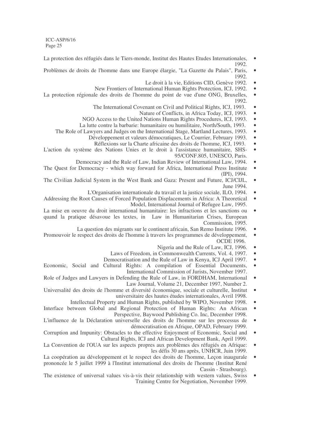- La protection des réfugiés dans le Tiers-monde, Institut des Hautes Etudes Internationales, 1992.
- Problèmes de droits de l'homme dans une Europe élargie, "La Gazette du Palais", Paris, 1992.
	- Le droit à la vie, Editions CID, Genève 1992.
	- New Frontiers of International Human Rights Protection, ICJ, 1992. •
- La protection régionale des droits de l'homme du point de vue d'une ONG, Bruxelles,  $\bullet$ 1992.
	- The International Covenant on Civil and Political Rights, ICJ, 1993.
		- Nature of Conflicts, in Africa Today, ICJ, 1993. •
	- NGO Access to the United Nations Human Rights Procedures, ICJ, 1993.
	- La lutte contre la barbarie: humanitaire ou humilitaire, North/South, 1993. •
	- The Role of Lawyers and Judges on the International Stage, Martland Lectures, 1993.
		- Développement et valeurs démocratiques, Le Courrier, February 1993.
			- Réflexions sur la Charte africaine des droits de l'homme, ICJ, 1993.  $\bullet$
- L'action du système des Nations Unies et le droit à l'assistance humanitaire, SHS- 95/CONF.805, UNESCO, Paris.
	- Democracy and the Rule of Law, Indian Review of International Law, 1994.
- The Quest for Democracy which way forward for Africa, International Press Institute . (IPI), 1994.
- The Civilian Judicial System in the West Bank and Gaza: Present and Future, ICJ/CIJL, June 1994.
	- L'Organisation internationale du travail et la justice sociale, ILO, 1994. •
- Addressing the Root Causes of Forced Population Displacements in Africa: A Theoretical Model, International Journal of Refugee Law, 1995.
- La mise en oeuvre du droit international humanitaire: les infractions et les sanctions ou quand la pratique désavoue les textes, in Law in Humanitarian Crises, European Commission, 1995.
	- La question des migrants sur le continent africain, San Remo Institute 1996. •
- Promouvoir le respect des droits de l'homme à travers les programmes de développement,  $\bullet$ OCDE 1996.
	- Nigeria and the Rule of Law, ICJ, 1996. •
	- Laws of Freedom, in Commonwealth Currents, Vol. 4, 1997.
	- Democratisation and the Rule of Law in Kenya, ICJ April 1997.
- Economic, Social and Cultural Rights: A compilation of Essential Documents, International Commission of Jurists, November 1997.
- Role of Judges and Lawyers in Defending the Rule of Law, in FORDHAM, International Law Journal, Volume 21, December 1997, Number 2.
- Universalité des droits de l'homme et diversité économique, sociale et culturelle, Institut universitaire des hautes études internationales, Avril 1998.
	- Intellectual Property and Human Rights, published by WIPO, November 1998. •
- Interface between Global and Regional Protection of Human Rights: An African Perspective, Baywood Publishing Co. Inc, December 1998.
- L'influence de la Déclaration universelle des droits de l'homme sur les processus de démocratisation en Afrique, OPAD, February 1999.
- Corruption and Impunity: Obstacles to the effective Enjoyment of Economic, Social and Cultural Rights, ICJ and African Development Bank, April 1999.
- La Convention de l'OUA sur les aspects propres aux problèmes des réfugiés en Afrique:  $\bullet$ les défis 30 ans après, UNHCR, Juin 1999.
- La coopération au développement et le respect des droits de l'homme, Leçon inaugurale prononcée le 5 juillet 1999 à l'Institut international des droits de l'homme (Institut René Cassin - Strasbourg).
- The existence of universal values vis-à-vis their relationship with western values. Swiss Training Centre for Negotiation, November 1999.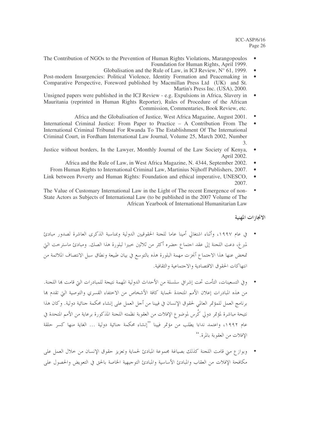$\bullet$ 

- The Contribution of NGOs to the Prevention of Human Rights Violations, Marangopoulos  $\bullet$ Foundation for Human Rights, April 1999.
	- Globalisation and the Rule of Law, in ICJ Review,  $N^{\circ}$  61, 1999.
- Post-modern Insurgencies: Political Violence, Identity Formation and Peacemaking in  $\bullet$ Comparative Perspective, Foreword published by Macmillan Press Ltd (UK) and St. Martin's Press Inc. (USA), 2000.
- Unsigned papers were published in the ICJ Review e.g. Expulsions in Africa, Slavery in  $\bullet$ Mauritania (reprinted in Human Rights Reporter), Rules of Procedure of the African Commission, Commentaries, Book Review, etc.
	- Africa and the Globalisation of Justice, West Africa Magazine, August 2001.  $\bullet$
- International Criminal Justice: From Paper to Practice A Contribution From The  $\bullet$ International Criminal Tribunal For Rwanda To The Establishment Of The International Criminal Court, in Fordham International Law Journal, Volume 25, March 2002, Number 3.
- Justice without borders, In the Lawyer, Monthly Journal of the Law Society of Kenya,  $\bullet$ April 2002.
	- Africa and the Rule of Law, in West Africa Magazine, N. 4344, September 2002.
- From Human Rights to International Criminal Law, Martinius Nijhoff Publishers, 2007.  $\bullet$ Link between Poverty and Human Rights: Foundation and ethical imperative. UNESCO.  $\bullet$
- 2007. The Value of Customary International Law in the Light of The recent Emergence of non- $\bullet$
- State Actors as Subjects of International Law (to be published in the 2007 Volume of The African Yearbook of International Humanitarian Law

الانجازات المهنية

- في عام ١٩٩٧، وأثناء اشتغالي أمينا عاما للجنة الحقوقيين الدولية وبمناسبة الذكرى العاشرة لصدور مبادئ  $\bullet$ لمبرغ، دعت اللجنة إلى عقد اجتماع حضره أكثر من ثلاثين حبيرا لبلورة هذا الصك. ومبادئ ماسترحت التي تمخض عنها هذا الاجتماع أنجزت مهمة البلورة هذه بالتوسع في بيان طبيعة ونطاق سبل الانتصاف الملائمة من انتهاكات الحقوق الاقتصادية والاجتماعية والثقافية.
- وفي التسعينات، التأمت تحت إشرافي سلسلة من الأحداث الدولية المهمة نتيجة للمبادرات التي قامت بما اللجنة. من هذه المبادرات إعلان الأمم المتحدة لحماية كافة الأشخاص من الاختفاء القسرى والتوصية التي تقدم بما برنامج العمل للمؤتمر العالمي لحقوق الإنسان في فيينا من أجل العمل على إنشاء محكمة جنائية دولية. وكان هذا نتيحة مباشرة لمؤتمر دولي كُرس لموضوع الإفلات من العقوبة نظمته اللجنة المذكورة برعاية من الأمم المتحدة في عام ١٩٩٢، واعتمد نداءا يطلب من مؤتمر فيينا ''إنشاء محكمة جنائية دولية … الغاية منها كسر حلقة الإفلات من العقوبة بالم ة.''
- وبوازع مني قامت اللجنة كذلك بصياغة مجموعة المبادئ لحماية وتعزيز حقوق الإنسان من حلال العمل على مكافحة الإفلات من العقاب والمبادئ الأساسية والمبادئ التوجيهية الخاصة بالحق في التعويض والحصول على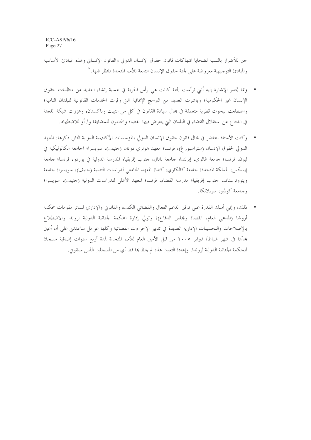جبر للأضرار بالنسبة لضحايا انتهاكات قانون حقوق الإنسان الدولي والقانون الإنساني وهذه المبادئ الأساسية والمبادئ التوجيهية معروضة على لجنة حقوق الإنسان التابعة للأمم المتحدة للنظر فيها.''

- ومما تجدر الإشارة إليه أنني ترأست لجنة كانت هي رأس الحربة في عملية إنشاء العديد من منظمات حقوق الإنسان غير الحكومية؛ وباشرت العديد من البرامج الإنمائية التي وفرت الخدمات القانونية للبلدان النامية؛ واضطلعت ببحوث قطرية متعمقة في مجال سيادة القانون في كل من التيبت وباكستان؛ وعززت شبكة اللجنة في الدفاع عن استقلال القضاء في البلدان التي يتعرض فيها القضاة والمحامون للمضايقة و/ أو للاضطهاد.
- وكنت الأستاذ المحاضر في مجال قانون حقوق الإنسان الدولي بالمؤسسات الأكاديمية الدولية التالي ذكرها: المعهد الدولي لحقوق الإنسان (ستراسبورغ)، فرنسا؛ معهد هونري دونان (حنيف)، سويسرا؛ الجامعة الكاثوليكية في ليون، فرنسا؛ جامعة غالوي، إيرلندا؛ جامعة ناتال، جنوب إفريقيا؛ المدرسة الدولية في بوردو، فرنسا؛ جامعة إيسكس، المملكة المتحدة؛ جامعة كالكاري، كندا؛ المعهد الجامعي لدراسات التنمية (حنيف)، سويسرا؛ جامعة ويتووترستاند، جنوب إفريقيا؛ مدرسة القضاء، فرنسا؛ المعهد الأعلى للدراسات الدولية (جنيف)، سويسرا؛ وجامعة كولمبو، سريلانكا.
- ذلك، وإنني أملك القدرة على توفير الدعم الفعال والقضائي الكفء والقانوني والإداري لسائر مقومات محكمة أروشا (المدعي العام، القضاة ومجلس الدفاع)؛ وتولي إدارة المحكمة الجنائية الدولية لروندا والاضطلاع بالإصلاحات والتحسينات الإدارية العديدة في تدبير الإجراءات القضائية وكلها عوامل ساعدتني على أن أعين مجلَّدا في شهر شباط/ فبراير ٢٠٠٥ من قبل الأمين العام للأمم المتحدة لمدة أربع سنوات إضافية مسجلا للحكمة الجنائية الدولية لروندا. وإعادة التعيين هذه لم يحظ بما قط أي من المسجلين الذين سبقوين.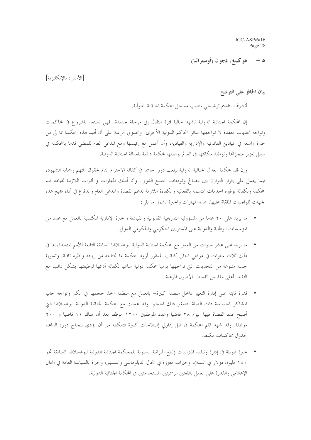هوكينغ، دجون رأوستراليا)  $-$  0

[الأصل: بالانكليزية]

بيان الحافز على الترشح

أتشرف بتقديم ترشيحي لمنصب مسحل المحكمة الجنائية الدولية.

إن المحكمة الجنائية الدولية تشهد حاليا فترة انتقال إلى مرحلة جديدة. فهي تستعد للشروع في محاكمات وتواجه تحديات معقدة لا تواجهها سائر المحاكم الدولية الأخرى. وتحدوني الرغبة على أن أفيد هذه المحكمة بما لي من خبرة واسعة في الميادين القانونية والإدارية والقيادية، وأن أعمل مع رئيسها ومع المدعى العام للمضى قدما بالمحكمة في سبيل تعزيز منحزالها وتوطيد مكانتها في العالم بوصفها محكمة دائمة للعدالة الجنائية الدولية.

وإن قلم محكمة العدل الجنائية الدولية ليلعب دورا حاسما في كفالة الاحترام التام لحقوق المتهم وحماية الشهود، فيما يعمل على إقرار التوازن بين مصالح وتوقعات المحتمع الدولي. وأنا أملك المهارات والخبرات اللازمة لقيادة قلم المحكمة ولكفالة توفيره الخدمات المتسمة بالفعالية والكفاءة اللازمة لدعم القضاة والمدعى العام والدفاع في أداء جميع هذه الجهات للواجبات الملقاة عليها. هذه المهارات والخبرة تشمل ما يلي:

- ما يزيد على ٢٠ عاما من المسؤولية التدريجية القانونية والقيادية والخبرة الإدارية المكتسبة بالعمل مع عدد من المؤسسات الوطنية والدولية على المستويين الحكومي والحكومي الدولي.
- ما يزيد على عشر سنوات من العمل مع المحكمة الجنائية الدولية ليوغسلافيا السابقة التابعة للأمم المتحدة، بما في ذلك ثلاث سنوات في موقعي الحالي كنائب للمقرر أزود المحكمة بما تحتاجه من ريادة ونظرة ثاقبة، وتسوية لجملة متنوعة من التحديات التي تواجهها يوميا محكمة دولية ساعيا لكفالة أدائها لوظيفتها بشكل دائب مع التقيد بأعلى مقاييس القسط بالأصول المرعية.
- قدرة ثابثة على إدارة التغيير داخل منظمة كبيرة– بالعمل مع منظمة آخذ حجمها في الكبر وتواجه حاليا المشاكل الحساسة ذات الصلة بتصغير ذلك الحجم. وقد عملت مع المحكمة الجنائية الدولية ليوغسلافيا التي أصبح عدد القضاة فيها اليوم ٢٨ قاضيا وعدد الموظفين ١٢٠٠ موظفا بعد أن هناك ١١ قاضيا و ٢٠٠ موظفا. وقد شهد قلم المحكمة في ظل إدارتي إصلاحات كبيرة لتمكينه من أن يؤدي بنجاح دوره الداعم لجدول محاكمات مكتظ.
- خبرة طويلة في إدارة وتنفيذ الميزانيات (تبلغ الميزانية السنوية للمحكمة الجنائية الدولية ليوغسلافيا السابقة نحو ١٥٠ مليون دولار في السنة)، وخبرات معززة في المحال الدبلوماسي والتنسيق، وخبرة بالسياسة العامة في المحال الإعلامي والقدرة على العمل باللغتين الرسميتين المستخدمتين في المحكمة الجنائية الدولية.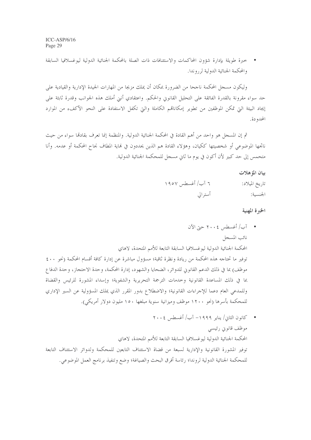• خيرة طويلة بإدارة شؤون المحاكمات والاستئنافات ذات الصلة بالمحكمة الجنائية الدولية ليوغسلافيا السابقة والمحكمة الجنائية الدولية لرروندا.

وليكون مسحل المحكمة ناجحا من الضرورة بمكان أن يملك مزيجا من المهارات الجيدة الإدارية والقيادية على حد سواء مقرونة بالقدرة الفائقة على التحليل القانوين والحكم. واعتقادي أنني أملك هذه الجوانب وقدرة ثابثة على إيجاد البيئة التي تمكن الموظفين من تطوير إمكاناقمم الكاملة والتي تكفل الاستفادة على النحو الأكفء من الموارد المحدودة.

ثم إن المسجل هو واحد من أهم القادة في المحكمة الجنائية الدولية. والمنظمة إنما تعرف بقادهًا سواءٍ من حيث ناتجها الموضوعي أو شخصيتها ككيان، وهؤلاء القادة هم الذين يحددون في فماية المطاف نجاح المحكمة أو عدمه. وأنا متحمس إلى حد كبير لأن أكون في يوم ما ثاني مسجل للمحكمة الجنائية الدولية.

ببان المؤهلات

| ٦ آب/ أغسطس ١٩٥٧ | تاريخ الميلاد: |
|------------------|----------------|
| أسترالي          | الجنسية:       |

الخبرة المهنية

• آب/ أغسطس ٢٠٠٤ حتى الآن نائب المسجل المحكمة الجنائية الدولية ليوغسلافيا السابقة التابعة للأمم المتحدة، لاهاي توفير ما تحتاجه هذه المحكمة من ريادة ونظرة ثاقبة؛ مسؤول مباشرة عن إدارة كافة أقسام المحكمة (نحو ٤٠٠ ) موظف) بما في ذلك الدعم القانوين للدوائر، الضحايا والشهود، إدارة المحكمة، وحدة الاحتجاز، وحدة الدفاع بما في ذلك المساعدة القانونية وحدمات الترجمة التحريرية والشفوية؛ وإسداء المشورة للرئيس والقضاة وللمدعى العام دعما للإجراءات القانونية؛ والاضطلاع بدور المقرر الذي يملك المسؤولية عن السير الإداري

للمحكمة بأسرها (نحو ١٢٠٠ موظف وميزانية سنوية مبلغها ١٥٠ مليون دولار أمريكي).

• كانون الثاني/ يناير ١٩٩٩- آب/ أغسطس ٢٠٠٤ موظف قانویی رئیسبی المحكمة الجنائية الدولية ليوغسلافيا السابقة التابعة للأمم المتحدة، لاهاي توفير المشورة القانونية والإدارية لسبعة من قضاة الاستئناف التابعين للمحكمة ولدوائر الاستئناف التابعة للمحكمة الجنائية الدولية لروندا؛ رئاسة أفرق البحث والصياغة؛ وضع وتنفيذ برنامج العمل الموضوعي.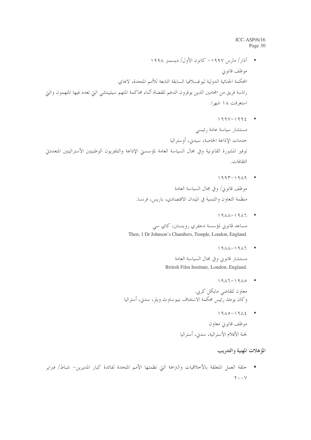- آذار / مارس ۱۹۹۷– کانون الأول/ ديسمبر ۱۹۹۸ موظف قانوين المحكمة الجنائية الدولية ليوغسلافيا السابقة التابعة للأمم المتحدة، لاهاى رئاسة فريق من المحامين الذين يوفرون الدعم للقضاة أثناء محاكمة المتهم سيليبتشي التي تعدد فيها المتهمون والتي استغرقت ١٨ شهرا.
	- $199V-1992$

مستشار سياسة عامة رئيسي خدمات الإذاعة الخاصة، سيدين، أو ستراليا توفير المشورة القانونية وفي مجال السياسة العامة لمؤسستي الإذاعة والتلفزيون الوطنيتين الأستراليتين المتعددتي الثقافات.

- $1997 1919$ موظف قانوين/ وفي مجال السياسة العامة منظمة التعاون والتنمية في الميدان الاقتصادي، باريس، فرنسا.
- $19\lambda\lambda-19\lambda7$ مساعد قانويي لمؤسسة دحفري روبنستن، كاي سي Then, 1 Dr Johnson's Chambers, Temple, London, England.
	- $19\lambda\lambda-19\lambda7$  . مستشار قانويي وفي مجال السياسة العامة British Film Institute, London, England.
- $1911 1910$ معاون للقاضي مايكل كربي. وكان يومئذ رئيس محكمة الاستئناف بنيوساوث ويلز، سدنى، أستراليا
	- $19\lambda0-19\lambda2$  . موظف قانونی معاون لجنة الأفلام الأسترالية، سدين، أستراليا

# المؤهلات المهنية والتدريب

• حلقة العمل المتعلقة بالأخلاقيات والتزاهة التي نظمتها الأمم المتحدة لفائدة كبار المديرين– شباط/ فبراير  $\mathbf{y} \cdot \cdot \mathbf{y}$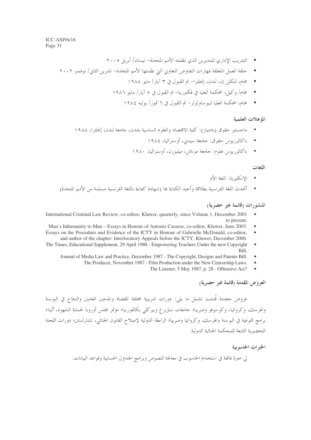- التدريب الإداري للمديرين الذي نظمته الأمم المتحدة- نيسان/ أبريل ٢٠٠٥
- حلقة العمل المتعلقة بمهارات التفاوض التعاوني التي نظمتها الأمم المتحدة– تشرين الثاني/ نوفمبر ٢٠٠٢
	- محام، لنكلن إن، لندن، إنجلترا– تم القبول في ٣ آيار/ مايو ١٩٨٨  $\bullet$
	- محام/ وكيل، المحكمة العليا في فكتوريا– تم القبول في ٥ آيا, / مايو ١٩٨٦  $\bullet$ 
		- محام، المحكمة العليا لنيو ساوثولز تم القبول في ٦ تموز/ يوليه ١٩٨٤

#### المؤهلات العلمية

- ماجستير حقوق (بامتياز): كلية الاقتصاد والعلوم الساسية بلندن، جامعة لندن، إنجلترا، ١٩٨٨
	- باكالوريوس حقوق: جامعة سيدني، أو ستراليا، ١٩٨٤  $\bullet$
	- باكالوريوس علوم: جامعة موناش، ميلبورن، أوستراليا، ١٩٨٠  $\bullet$

#### اللغات

- الإنكليزية: اللغة الأم
- أتحدث اللغة الفرنسية بطلاقة وأجيد الكتابة بما (شهادة كفاءة باللغة الفرنسية مسلمة من الأمم المتحدة)

#### المنشورات (قائمة غير حصرية)

- International Criminal Law Review, co-editor, Kluwer, quarterly, since Volume 1, December 2001 to present.
- Man's Inhumanity to Man Essays in Honour of Antonio Cassese, co-editor, Kluwer, June 2003.  $\bullet$
- $\bullet$ Essays on the Procedure and Evidence of the ICTY in Honour of Gabrielle McDonald, co-editor, and author of the chapter: Interlocutory Appeals before the ICTY, Kluwer, December 2000.
- The Times, Educational Supplement, 29 April 1988 Empowering Teachers Under the new Copyright  $\bullet$ Bill.
	- Journal of Media Law and Practice, December 1987 The Copyright, Designs and Patents Bill.  $\bullet$ 
		- The Producer, November 1987 Film Production under the New Censorship Laws.
			- The Listener, 5 May 1987, p. 28 Offensive Act?

### العروض المقدمة رقائمة غير حصرية)

عروض متعددة قُدمت تشمل ما يلي: دورات تدريبية مختلفة للقضاة والمدعين العامين والدفاع في البوسنة والهرسك، وكرواتيا، وكوسوفو وصربيا؛ حامعات سلزبرغ وبيركلي بكالفورنيا؛ مؤتمر مجلس أوروبا لحماية الشهود، أثينا؛ برامج التوعية في البوسنة والهرسك، وكرواتيا وصربيا؛ الرابطة الدولية لإصلاح القانون الجنائي، تشارلستن؛ دورات اللجنة التحضيرية التابعة للمحكمة الجنائية الدولية.

#### الخبرات الحاسه بية

لي حبرة فائقة في استخدام الحاسوب في معالجة النصوص وبرامج الجداول الحسابية وقواعد البيانات.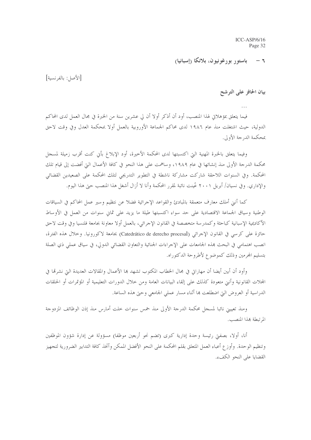باستور بورغونيون، بلانكا (إسبانيا)  $-7$ 

[الأصل: بالفرنسية]

بيان الحافز على الترشح

فيما يتعلق بمؤهلاني لهذا المنصب، أود أن أذكر أولا أن لي عشرين سنة من الخبرة في مجال العمل لدى المحاكم الدولية، حيث اشتغلت منذ عام ١٩٨٦ لدى محاكم الجماعة الأوروبية بالعمل أولا بمحكمة العدل وفي وقت لاحق بمحكمة الدرجة الأولى.

وفيما يتعلق بالخبرة المهنية التي اكتسبتها لدى المحكمة الأخيرة، أود الإبلاغ بأني كنت أقرب زميلة لمسجل محكمة الدرجة الأولى منذ إنشائها في عام ١٩٨٩، وساهمت على هذا النحو في كافة الأعمال التي أفضت إلى قيام تلك المحكمة. وفي السنوات اللاحقة شاركت مشاركة ناشطة في التطوير التدريجي لتلك المحكمة على الصعيدين القضائي والإداري. وفي نسبان/ أبريل ٢٠٠١ عُينت نائبة لمقرر المحكمة وأنا لا أزال أشغل هذا المنصب حبٍّ هذا اليوم.

كما أننى أملك معارف متعمقة بالمبادئ والقواعد الإجرائية فضلا عن نتظيم وسير عمل المحاكم في السياقات الوطنية وسياق الجماعة الاقتصادية على حد سواء اكتسبتها طيلة ما يزيد على ثماني سنوات من العمل في الأوساط الأكاديمية الإسبانية كباحثة وكمدرسة متخصصة في القانون الإحرائي، بالعمل أولا معاونة بجامعة فلنسيا وفي وقت لاحق حائزة على كرسي في القانون الإجرائي (Catedrático de derecho procesal) بجامعة لاكورونيا. وخلال هذه الفترة، انصب اهتمامي في البحث بمذه الجامعات على الإجراءات الجنائية والتعاون القضائي الدولي، في سياق عملي ذي الصلة بتسليم المحرمين وذلك كموضوع لأطروحة الدكتوراه.

وأود أن أبين أيضا أن مهاراتي في مجال الخطاب المكتوب تشهد ها الأعمال والمقالات العديدة التي نشرقما في المحلات القانونية وأننى متعودة كذلك على إلقاء البيانات العامة ومن خلال الدورات التعليمية أو المؤتمرات أو الحلقات الدراسية أو العروض التي اضطلعت بما أثناء مسار عملي الجامعي وحتى هذه الساعة.

ومنذ تعييين نائبا لمسجل محكمة الدرجة الأولى منذ خمس سنوات حلت أمارس منذ إذن الوظائف المزدوجة الم تبطة هذا المنصب.

أنا، أولا، بصفتي رئيسة وحدة إدارية كبرى (تضم نحو أربعين موظفا) مسؤولة عن إدارة شؤون الموظفين وتنظيم الوحدة. وأوزع أعباء العمل المتعلق بقلم المحكمة على النحو الأفضل الممكن وأتخذ كافة التدابير الضرورية لتجهيز القضايا على النحو الكفء.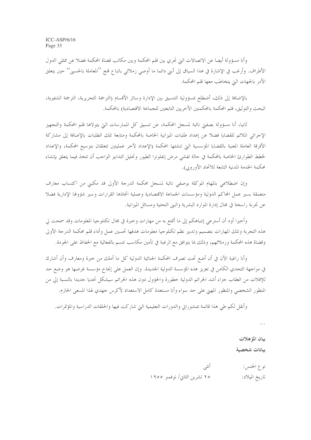وأنا مسؤولة أيضا عن الاتصالات التي تحري بين قلم المحكمة وبين مكاتب قضاة المحكمة فضلا عن ممثلي الدول الأطراف. وأرغب في الإشارة في هذا السياق إلى أنني دائما ما أوصى زملائي باتباع فمج ''المعاملة بالحسني'' حين يتعلق الأمر بالجهات التي يتخاطب معها قلم المحكمة.

بالإضافة إلى ذلك، أضطلع بمسؤولية التنسيق بين الإدارة وسائر الأقسام (الترجمة التحريرية، الترجمة الشفوية، البحث والتوثيق، قلم المحكمة بالمحكمتين الأخريين التابعتين للجماعة الاقتصادية) بالمحكمة.

ثانيا، أنا مسؤولة بصفيٍّ نائبة لمسجل المحكمة، عن تنسيق كل الممارسات التي يتولاها قلم المحكمة والتجهيز الإجرائي الملائم للقضايا فضلا عن إعداد طلبات الميزانية الخاصة بالمحكمة ومتابعة تلك الطلبات بالإضافة إلى مشاركة الأفرقة العاملة المعنية بالقضايا المؤسسية التي تنشئها المحكمة (الإعداد لآخر عمليتين تتعلقان بتوسيع المحكمة، والإعداد لخطط الطوارئ الخاصة بالمحكمة في حالة تفشي مرض إنفلونزا الطيور وتحليل التدابير الواحب أن تتخذ فيما يتعلق بإنشاء محكمة الحدمة المدنية التابعة للاتحاد الأوروبي).

وإن اضطلاعي بالمهام الموكلة بوصفي نائبة لمسجل محكمة الدرجة الأولى قد مكنين من اكتساب معارف متعمقة بسير عمل المحاكم الدولية ومؤسسات الجماعة الاقتصادية وعملية اتخاذها القرارات وسير شؤولها الإدارية فضلا عن تحربة راسخة في مجال إدارة الموارد البشرية والبني التحتية ومسائل الميزانية.

وأخيرا أود أن أسترعي إنتباهكم إلى ما أتمتع به من مهارات وخبرة في مجال تكنلوجيا المعلومات وقد سمحت لي هذه التجربة وتلك المهارات بتصميم وتدبير نظم تكنلوجيا معلومات هدفها تحسين عمل وأداء قلم محكمة الدرجة الأولى وقضاة هذه المحكمة وزملائهم، وذلك بما يتوافق مع الرغبة في تأمين مكاسب تتسم بالفعالية مع الحفاظ على الجودة.

وأنا راغبة الآن في أن أضع تحت تصرف المحكمة الجنائية الدولية كل ما أملك من حبرة ومعارف وأن أشارك في مواجهة التحدي الكامن في تعزيز هذه المؤسسة الدولية الجديدة. وإن العمل على إنجاح مؤسسة غرضها هو وضع حد للإفلات من العقاب حزاء أشد الجرائم الدولية خطورة والحؤول دون هذه الجرائم سيشكل تحديا حديدا بالنسبة إلى من المنظور الشخصي والمنظور المهني على حد سواء وأنا مستعدة كامل الاستعداد لأكرس جهدي لهذا المسعى الحازم.

وأنقل لكم طي هذا قائمة بمنشوراتي والدورات التعليمية التي شاركت فيها والحلقات الدراسية والمؤتمرات.

 $\ldots$ 

بيان المؤهلات ببانات شخصية

أنثى نوع الجنس: ٢٥ تشرين الثاني/ نوفمبر ١٩٥٥ تاريخ الميلاد: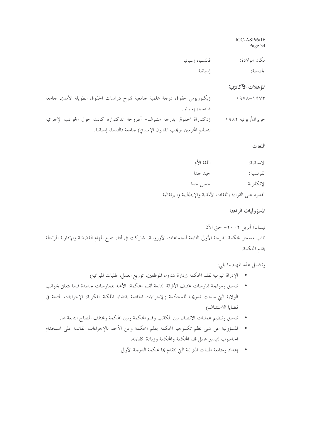| فالنسيا، إسبانيا | مكان الولادة: |
|------------------|---------------|
| إسبانية          | الجنسية:      |

#### المؤهلات الآكاديمية

| $19Y\Lambda - 19Y\Gamma$ | (بكلوريوس حقوق درجة علمية جامعية تُتوج دراسات الحقوق الطويلة الأمد)، جامعة |
|--------------------------|----------------------------------------------------------------------------|
|                          | فالنسيا، إسبانيا.                                                          |
| حزيران/ يونيه ١٩٨٢       | (دكتوراة الحقوق بدرجة مشرف- أطروحة الدكتواره كانت حول الجوانب الإجرائية    |
|                          | لتسليم المحرمين بومحب القانون الإسباني) حامعة فالنسيا، إسبانيا.            |

#### اللغات

| اللغة الأم                                                    | الاسبانية:  |
|---------------------------------------------------------------|-------------|
| جيد جدا                                                       | الفرنسية:   |
| حسن جدا                                                       | الإنكليزية: |
| القدرة على القراءة باللغات الألمانية والإيطاليية والبرتغالية. |             |

المسؤوليات الراهنة

نيسان/ أبريل ٢٠٠٢ حتى الأن نائب مسجل محكمة الدرجة الأولى التابعة للجماعات الأوروبية. شاركت في أداء جميع المهام القضائية والإدارية المرتبطة بقلم المحكمة.

وتشمل هذه المهام ما يلي:

- الإدراة اليومية لقلم المحكمة (إدارة شؤون الموظفين، توزيع العمل، طلبات الميزانية)
- تنسيق ومواءمة ممارسات مختلف الأفرقة التابعة لقلم المحكمة: الأخذ بممارسات حديدة فيما يتعلق بجوانب الولاية التي منحت تدريجيا للمحكمة (الإجراءات الخاصة بقضايا الملكية الفكرية، الإجراءات المتبعة في قضايا الاستئناف)
	- تنسيق وتنظيم عمليات الاتصال بين المكاتب وقلم المحكمة وبين المحكمة ومختلف المصالح التابعة لها.
- المسؤولية عن شتى نظم تكنلوجيا المحكمة بقلم المحكمة وعن الأخذ بالإجراءات القائمة على استخدام الحاسوب لتيسير عمل قلم المحكمة والمحكمة وزيادة كفاءته.
	- إعداد ومتابعة طلبات الميزانية التي تتقدم بما محكمة الدرجة الأولى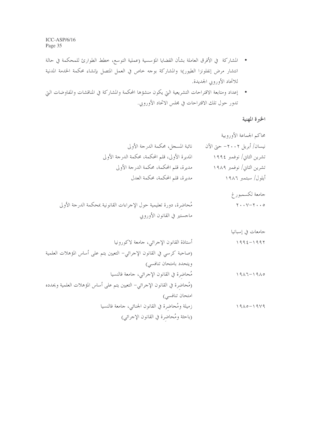- المشاركة في الأفرق العاملة بشأن القضايا المؤسسية (عملية التوسع، خطط الطوارئ للمحكمة في حالة انتشار مرض إنفلونزا الطيور)؛ والمشاركة بوجه حاص في العمل المتصل بإنشاء محكمة الخدمة المدنية للاتحاد الأوروبي الجديدة.
- إعداد ومتابعة الاقتراحات التشريعية التي يكون منشؤها المحكمة والمشاركة في المناقشات والمفاوضات التي تدور حول تلك الاقتراحات في مجلس الاتحاد الأوروبي.

الخبرة المهنية

| محاكم الجماعة الأوروبية                                     |                                                                            |
|-------------------------------------------------------------|----------------------------------------------------------------------------|
| نيسان/ أبريل ٢٠٠٢– حتى الآن                                 | نائبة المسحل، محكمة الدرحة الأولى                                          |
| تشرين الثاني/ نوفمبر ١٩٩٤                                   | المديرة الأولى، قلم المحكمة، محكمة الدرجة الأولى                           |
| تشرين الثاني/ نوفمبر ١٩٨٩                                   | مديرة، قلم المحكمة، محكمة الدرجة الأولى                                    |
| أيلول/ سبتمبر ١٩٨٦                                          | مديرة، قلم المحكمة، محكمة العدل                                            |
| جامعة لكسمبور غ                                             |                                                                            |
| $\mathbf{y} \cdot \mathbf{y} - \mathbf{y} \cdot \mathbf{z}$ | مُحاضرة، دورة تعليمية حول الإحراءات القانونية بمحكمة الدرجة الأولى         |
|                                                             | ماجستير في القانون الأوروبي                                                |
| جامعات في إسبانيا                                           |                                                                            |
| $1992 - 1997$                                               | أستاذة القانون الإحرائي، حامعة لاكورونيا                                   |
|                                                             | (صاحبة كرسي في القانون الإجرائي– التعيين يتم على أساس المؤهلات العلمية     |
|                                                             | ويتحدد بامتحان تنافسي)                                                     |
| $1917 - 1910$                                               | مُحاضرة في القانون الإجرائي، جامعة فالنسيا                                 |
|                                                             | (مُحاضرة في القانون الإجرائي– التعيين يتم على أساس المؤهلات العلمية ويحدده |
|                                                             | امتحان تنافسي)                                                             |
| $19\lambda0 - 19\gamma9$                                    | زميلة ومُحاضرة في القانون الجنائي، حامعة فالنسيا                           |
|                                                             | (باحثة ومُحاضرة في القانون الإجرائي)                                       |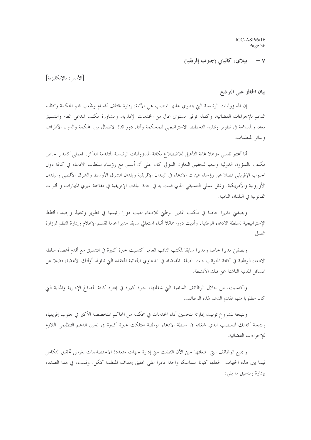$\vee$ بيلاي، كاليابي (جنوب إفريقيا)

[الأصل: بالانكليزية]

بيان الحافز على الترشح

إن المسؤوليات الرئيسية التي ينطوي عليها المنصب هي الآتية: إدارة مختلف أقسام وشُعب قلم المحكمة وتنظيم الدعم للإجراءات القضائية، وكفالة توفير مستوى عال من الخدمات الإدارية، ومشاورة مكتب المدعى العام والتنسيق معه، والمساهمة في تطوير وتنفيذ التخطيط الاستراتيجي للمحكمة وأداء دور قناة الاتصال بين المحكمة والدول الأطراف وسائر المنظمات.

أنا أعتبر نفسي مؤهلا غاية التأهيل للاضطلاع بكافة المسؤوليات الرئيسية المتقدمة الذكر. فعملي كمدير خاص مكلف بالشؤون الدولية وسعيا لتحقيق التعاون الدولي كان على أن أنسق مع رؤساء سلطات الادعاء في كافة دول الجنوب الإفريقي فضلا عن رؤساء هيئات الادعاء في البلدان الإفريقية وبلدان الشرق الأوسط والشرق الأقصى والبلدان الأوروبية والأمريكية. وتمثل عملي التنسيقي الذي قمت به في حالة البلدان الإفريقية في مقاسمة غيري المهارات والخبرات القانونية في البلدان النامية.

وبصفتي مديرا حاصا في مكتب المدير الوطني للادعاء لعبت دورا رئيسيا في تطوير وتنفيذ ورصد الخطط الإستراتيجية لسلطة الادعاء الوطنية. وأديت دورا مماثلا أثناء استغالي سابقا مديرا عاما لقسم الإعلام وإدارة النظم لوزارة العدل .

وبصفيٍّ مديرًا خاصاً ومديرًا سابقًا لمكتب النائب العام، اكتسبت خبرة كبيرة في التنسيق مع أقدم أعضاء سلطة الادعاء الوطنية في كافة الجوانب ذات الصلة بالمقاضاة في الدعاوي الجنائية المعقدة التي تناولها أولئك الأعضاء فضلا عن المسائل المدنية الناشئة عن تلك الأنشطة.

واكتسبت، من خلال الوظائف السامية التي شغلتها، حبرة كبيرة في إدارة كافة المصالح الإدارية والمالية التي كان مطلوبا منها تقديم الدعم لهذه الوظائف.

ونتيجة لمشروع توليت إدارته لتحسين أداء الخدمات في محكمة من المحاكم المتخصصة الأكبر في جنوب إفريقيا، ونتيجة كذلك للمنصب الذي شغلته في سلطة الادعاء الوطنية امتلكت حبرة كبيرة في تعيين الدعم التنظيمي اللازم للإجراءات القضائية.

وجميع الوظائف التي شغلتها حتى الآن اقتضت مني إدارة جهات متعددة الاختصاصات بغرض تحقيق التكامل فيما بين هذه الجهات لجعلها كيانا متماسكا واحدا قادرا على تحقيق إهداف المنظمة ككل. وقمت، في هذا الصدد، بإدارة وتنسيق ما يلي: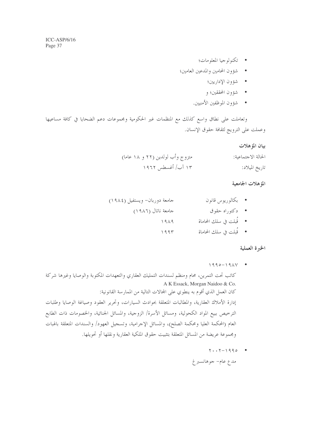- تكنولوجيا المعلومات؟
- شؤون المحامين والمدعين العامين؛
	- شؤون الإداريين؛
	- شؤون المحققين؛ و
	-

وتعاملت على نطاق واسع كذلك مع المنظمات غير الحكومية ومجموعات دعم الضحايا في كافة مساعيها وعملت على الترويج لثقافة حقوق الإنسان.

#### بيان المؤهلات

| الحالة الاحتماعية: | متزوج وأب لولدين (٢٢ و ١٨ عاما) |
|--------------------|---------------------------------|
| ناريخ الميلاد:     | ۱۳ آب/ أغسطس ۱۹۶۲               |

### المؤهلات الجامعية

- جامعة دوربان– ويستفيل (١٩٨٤) • بكالوريوس قانون • دکتوراه حقوق جامعة ناتال (١٩٨٦) • قُبلت في سلك المحاماة  $1919$ 
	- قُبلت في سلك المحاماة  $1995$

### الخبرة العملية

 $1990 - 191V$ 

كاتب تحت التمرين، محام ومنظم لسندات التمليك العقاري والتعهدات المكتوبة والوصايا وغيرها شركة A K Essack, Morgan Naidoo & Co. كان العمل الذي أقوم به ينطوي على المحالات التالية من الممارسة القانونية: إدارة الأملاك العقارية، والمطالبات المتعلقة بحوادث السيارات، وتحرير العقود وصياغة الوصايا وطلبات الترحيص ببيع المواد الكحولية، ومسائل الأسرة/ الزوجية، والمسائل الجنائية، والخصومات ذات الطابع العام (المحكمة العليا ومحكمة الصلح)، والمسائل الإحرامية، وتسجيل العهود/ والسندات المتعلقة بالهبات ومجموعة عريضة من المسائل المتعلقة بتثبيت حقوق الملكية العقارية ونقلها أو تحويلها.

> $Y \cdot Y - 1990$ مدع عام– جوهانسبرغ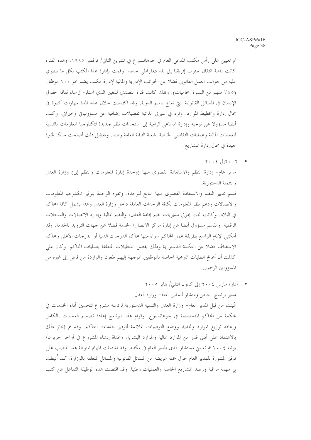تم تعييني على رأس مكتب المدعى العام في جوهانسبرغ في تشرين الثاني/ نوفمبر ١٩٩٥. وهذه الفترة كانت بداية انتقال حنوب إفريقيا إلى بلد ديمقراطي حديد. وقمت بإدارة هذا المكتب بكل ما ينطوي عليه من جوانب العمل القانوين فضلا عن الجوانب الإدارية والمالية لإدارة مكتب يضم نحو ١٠٠ موظف (٤٥٪ منهم من النسوة المحاميات). وتلك كانت فترة التصدي للتغيير الذي استلزم إرساء ثقافة حقوق الإنسان في المسائل القانونية التي تعالج باسم الدولة. وقد اكتسبت حلال هذه المدة مهارات كبيرة في مجال إدارة وتخطيط الموارد. وترد في سيرتي الذاتية تفصيلات إضافية عن مسؤولياتي وخبراتي. وكنت أيضا مسؤولا عن توجيه وإدارة المساعي الرامية إلى استحداث نظم جديدة لتكنلوجيا المعلومات بالنسبة للعمليات المالية وعمليات التقاضي الخاصة بشعبة النيابة العامة وطنيا. وبفضل ذلك أصبحت مالكا لخبرة جيدة في مجال إدارة المشاريع.

 $Y \cdot Z \downarrow Y \cdot Y$ 

مدير عام– إدارة النظم والاستفادة القصوى منها (وحدة إدارة المعلومات والنظم إلى) وزارة العدل والتنمية الدستورية.

قسم تدبير النظم والاستفادة القصوى منها التابع للوحدة. وتقوم الوحدة بتوفير تكنلوجيا المعلومات والاتصالات ودعم نظم المعلومات لكافة الوحدات العاملة داخل وزارة العدل وهذا يشمل كافة المحاكم في البلاد. وكانت تحت إمرتي مديريات نظم إقامة العدل، والنظم المالية وإدارة الاتصالات والسجلات الرقمية. والقسم مسؤول أيضا عن إدارة مركز الاتصال/ الخدمة فضلا عن جهات التزويد بالخدمة. وقد أمكنني الإلمام الواسع بطريقة عمل المحاكم سواء منها محاكم الدرجات الدنيا أو الدرجات الأعلى ومحاكم الاستئناف فضلا عن المحكمة الدستورية وذلك بفضل التحليلات المتعلقة بعمليات المحاكم. وكان على كذلك أن أعالج الطلبات البرمجية الخاصة بالموظفين الموحهة إليهم طعون والواردة من قاض إلى غيره من المسؤولين الرسميين.

• آذار/ مارس ٢٠٠٤ إلى كانون الثاني/ يناير ٢٠٠٥ مدير برنامج خاص ومتشار للمدير العام- وزارة العدل عُينت من قبل المدير العام– وزارة العدل والتنمية الدستورية لرئاسة مشروع لتحسين أداء الخدمات في محكمة من المحاكم المتخصصة في حوهانسبرغ. وقوام هذا البرنامج إعادة تصميم العمليات بالكامل وإعادة توزيع الموارد وتحديد ووضع التوصيات الملائمة لتوفير حدمات المحاكم. وقد تم إنحاز ذلك بالاعتماد على أدن قدر من الموارد المالية والموارد البشرية. وغداة إنشاء المشروع في أواخر حزيران/ يونيه ٢٠٠٤ تم تعييني مستشارًا لدى المدير العام في مكتبه. وقد اشتملت المهام المنوطة بمذا المنصب على توفير المشورة للمدير العام حول جملة عريضة من المسائل القانونية والمسائل المتعلقة بالوزارة. كما أنيطت بي مهمة مراقبة ورصد المشاريع الخاصة والعمليات وطنيا. وقد اقتضت هذه الوظيفة التفاعل عن كثب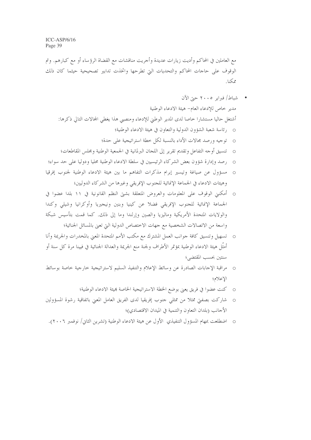مع العاملين في المحاكم وأديت زيارات عديدة وأجريت مناقشات مع القضاة الرؤساء أو مع كبارهم. وتم الوقوف على حاجات المحاكم والتحديات التي تطرحها واتخذت تدابير تصحيحية حيثما كان ذلك ممكنا.

شباط/ فبراير ٢٠٠٥ حيّ الآن مدير خاص للإدعاء العام- هيئة الادعاء الوطنية أشتغل حاليا مستشارا خاصا لدى المدير الوطني للإدعاء ومنصبي هذا يغطي المحالات التالي ذكرها: o رئاسة شعبة الشؤون الدولية والتعاون في هيئة الادعاء الوطنية؛ ○ توجيه ورصد مجالات الأداء بالنسبة لكل خطة استراتيجية على حدة؛ o تنسيق أوجه التفاعل وتقديم تقرير إلى اللجان البرلمانية في الجمعية الوطنية ومجلس المقاطعات؛ o رصد وإدارة شؤون بعض الشركاء الرئيسيين في سلطة الادعاء الوطنية محليا ودوليا على حد سواء؛ o مسؤول عن صياغة وتيسير إبرام مذكرات التفاهم ما بين هيئة الادعاء الوطنية لجنوب إفرقيا وهيئات الادعاء في الجماعة الإنمائية للجنوب الإفريقي وغيرها من الشركاء الدوليين؛

 $\bullet$ 

- o أمكنني الوقوف على المعلومات والعروض المتعلقة بشتى النظم القانونية في ١١ بلدا عضوا في الجماعة الإنمائية للجنوب الإفريقي فضلا عن كينيا وبنين ونيجيريا وأوكرانيا وشيلي وكندا والولايات المتحدة الأمريكية وماليزيا والصين وإرلندا وما إلى ذلك. كما قمت بتأسيس شبكة واسعة من الاتصالات الشخصية مع جهات الاختصاص الدولية التي تعني بالمسائل الجنائية؛
- o تسهيل وتنسيق كافة حوانب العمل المشترك مع مكتب الأمم المتحدة المعنى بالمخدرات والجريمة وأنا أمثَّل هيئة الادعاء الوطنية بمؤتمر الأطراف ولجنة منع الجريمة والعدالة الجنائية في فيينا مرة كل سنة أو سنتين بحسب المقتضى؛
- o مراقبة الإجابات الصادرة عن وسائط الإعلام والتنفيذ السليم لاستراتيجية خارجية خاصة بوسائط الإعلام؛
	- o كنت عضوا في فريق يعني بوضع الخطة الاستراتيجية الخاصة بميئة الادعاء الوطنية؛
- شاركت بصفيٍّ ممثلًا من ممثلي جنوب إفريقيا لدى الفريق العامل المعنى باتفاقية رشوة المسؤولين الأحانب (بلدان التعاون والتنمية في الميدان الاقتصادي)؛
- اضطلعت بمهام المسؤول التنفيذي الأول عن هيئة الادعاء الوطنية (تشرين الثاني/ نوفمبر ٢٠٠٦).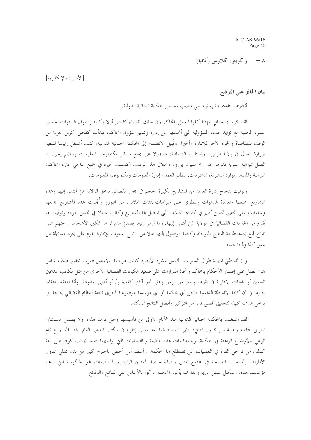ا – راكويتز، كلاوس (ألمانيا)  $\lambda$ 

[الأصل: بالانكليزية]

بيان الحافز على الترشح

أتشرف بتقديم طلب ترشحي لمنصب مسجل المحكمة الجنائية الدولية.

لقد كرست حياتي المهنية كلها للعمل بالمحاكم وفي سلك القضاء كقاض أولا وكمدير طوال السنوات الخمس عشرة الماضية مع تزايد عبء المسؤولية التي أتحملها عن إدارة وتدبير شؤون المحاكم، فبدأت كقاض أكرس جزءا من الوقت للمقاضاة والجزء الآخر للإدارة وأحيرا، وقَبيل الانضمام إلى المحكمة الجنائية الدولية، كنت أشتغل رئيسا لشعبة بوزارة العدل في ولاية الراين– وفستفاليا الشمالية، مسؤولا عن جميع مسائل تكنولوجيا المعلومات وتنظيم إجراءات العمل بميزانية سنوية قدرها نحو ٧٠ مليون يورو. وخلال هذا الوقت، اكتسبت خبرة في جميع مناحي إدارة المحاكم: الميزانية والمالية، الموارد البشرية، المشتريات، تنظيم العمل، إدارة المعلومات وتكنولوجيا المعلومات.

وتوليت بنجاح إدارة العديد من المشاريع الكبيرة الحجم في المحال القضائي داخل الولاية التي أنتمي إليها وهذه المشاريع جميعها متعددة السنوات وتنطوي على ميزانيات بمئات الملايين من اليورو وأُبخزت هذه المشاريع جميعها وساعدت على تحقيق تحسن كبير في كفاءة المحالات التي تتتصل ها المشاريع وكانت عاملا في تحسن حودة وتوقيت ما يُقدم من الحدمات القضائية في الولاية التي أنتمي إليها. وما أرمي إليه، بصفتي مديرا، هو تمكين الأشخاص وحثهم على اتباع فمج يحدد طبيعة النتائج المتوحاة وكيفية الوصول إليها بدلا من اتباع أسلوب للإدارة يقوم على مجرد مساءلة من عمل كذا ولماذا عمله.

وإن أنشطتي المهنية طوال السنوات الخمس عشرة الأخيرة كانت موجهة بالأساس صوب تحقيق هدف شامل هو: العمل على إصدار الأحكام بالمحاكم واتخاذ القرارات على صعيد الكيانات القضائية الأخرى من مثل مكاتب المدعين العامين أو الهيئات الإدارية في ظرف وجيز من الزمن وعلى نحو أكثر كفاءة و/ أو أعلى جدودة. وأنا اعتقد اعتقادا جازما في أن كافة الأنشطة الداعمة داخل أي محكمة أو أي مؤسسة موضوعية أخرى تابعة للنظام القضائي بحاجة إلى توخي هدف كهذا لتحقيق أقصى قدر من التركيز وأفضل النتائج الممكنة.

لقد اشتغلت بالمحكمة الجنائية الدولية منذ الأيام الأولى من تأسيسها وحتى يومنا هذا، أولا بصفتي مستشارا للفريق المتقدم وبداية من كانون الثاني/ يناير ٢٠٠٣ فما بعد مديرا إداريا في مكتب المدعى العام. لهذا فأنا واع تمام الوعي بالأوضاع الراهنة في المحكمة، وباحتياجات هذه المنظمة وبالتحديات التي نواجهها جميعا بجانب كوني على بينة كذلك من نواحي القوة في العمليات التي تضطلع ها المحكمة. وأعتقد أنني أحظى باحترام كبير من لدن ممثلي الدول الأطراف وأصحاب المصلحة في المحتمع المدني وبصفة حاصة الممثلين الرئيسيين للمنظمات غير الحكومية التي تدعم مؤسستنا هذه. وسأظل الممثل النزيه والعارف بأمور المحكمة مركزا بالأساس على النتائج والوقائع.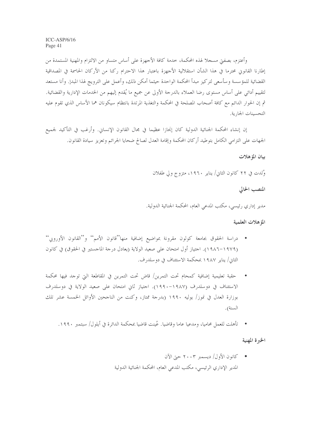وأعتزم، بصفيٍّ مسجلًا لهذه المحكمة، حدمة كافة الأجهزة على أساس متساوٍ من الالتزام والمهنية المستمدة من إطارنا القانوين محترما في هذا الشأن استقلالية الأجهزة باعتبار هذا الاحترام ركنا من الأركان الحاسمة في المصداقية القضائية للمؤسسة وسأسعى لتركيز مبدأ المحكمة الواحدة حيثما أمكن ذلك، وأعمل على الترويج لهذا المبدإ. وأنا مستعد لتقييم أدائي على أساس مستوى رضا العملاء بالدرجة الأولى عن جميع ما يُقدم إليهم من الخدمات الإدارية والقضائية. ثم إن الحوار الدائم مع كافة أصحاب المصلحة في المحكمة والتغذية المرتدة بانتظام سيكونان هما الأساس الذي تقوم عليه التحسينات الجارية.

إن إنشاء المحكمة الجنائية الدولية كان إنجازًا عظيمًا في مجال القانون الإنساني. وأرغب في التأكيد لجميع الجهات على التزامي الكامل بتوطيد أركان المحكمة وإقامة العدل لصالح ضحايا الجرائم وتعزيز سيادة القانون.

بيان المؤهلات

وُلدت في ٢٢ كانون الثاني/ يناير ١٩٦٠، متزوج ولي طفلان

المنصب الحالي

مدير إداري رئيسي، مكتب المدعى العام، المحكمة الجنائية الدولية.

#### المؤهلات العلمية

- دراسة الحقوق بجامعة كولون مقرونة بمواضيع إضافية منها''قانون الأمم'' و''القانون الأوروبي'' (١٩٧٩–١٩٨٦). اجتياز أول امتحان على صعيد الولاية (يعادل درجة الماجستير في الحقوق) في كانون الثاني/ يناير ١٩٨٧ بمحكمة الاستئناف في دوسلدرف.
- حقبة تعليمية إضافية كمحام تحت التمرين/ قاض تحت التمرين في المقاطعة التي توجد فيها محكمة الاستئناف في دوسلدرف (١٩٨٧–١٩٩٠). احتياز ثاني امتحان على صعيد الولاية في دوسلدرف بوزارة العدل في نموز/ يوليه ١٩٩٠ (بدرجة ممتاز، وكنت من الناجحين الأوائل الخمسة عشر تلك السنة).
	- تأهلت للعمل محاميا، ومدعيا عاما وقاضيا. عُينت قاضيا بمحكمة الدائرة في أيلول/ سبتمبر ١٩٩٠.

#### الخبرة المهنية

كانون الأول/ ديسمبر ٢٠٠٣ حتى الآن المدير الإداري الرئيسي، مكتب المدعى العام، المحكمة الجنائية الدولية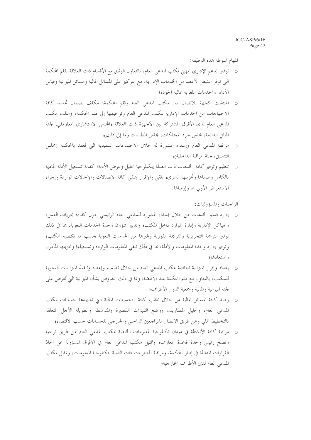المهام المنوطة بمذه الوطيفة:

- توفير الدعم الإداري المهنى لمكتب المدعى العام، بالتعاون الوثيق مع الأقسام ذات العلاقة بقلم المحكمة التي توفر الشطر الأعظم من الخدمات الإدارية، مع التركيز على المسائل المالية ومسائل الميزانية وقياس الأداء والخدمات اللغوية عالية الجودة؛
- 0 اشتغلت كجهة للاتصال بين مكتب المدعى العام وقلم المحكمة؛ مكلف بضمان تحديد كافة الاحتياجات من الخدمات الإدارية لمكتب المدعى العام وتوجيهها إلى قلم المحكمة، ومثلت مكتب المدعى العام لدى الأفرق المشتركة بين الأجهزة ذات العلاقة (المجلس الاستشاري المعلوماتي، لجنة المباني الدائمة، مجلس جرد الممتلكات، مجلس المطالبات وما إلى ذلك)؛
- مرافقة المدعى العام وإسداء المشورة له حلال الاجتماعات التنفيذية التي تُعقد بالمحكمة (مجلس  $\circ$ التنسيق، لجنة المراقبة الداخلية)؛
- تنظيم وتوفير كافة الحدمات ذات الصلة يتكنلوجيا تحليل وعرض الأدلة؛ كفالة تسجيل الأدلة المادية بالكامل وضمالها وتخزينها السري؛ تلقى والإقرار بتلقى كافة الاتصالات والإحالات الواردة وإجراء الاستعراض الأولى لها وإرسالها.

الواجبات والمسؤوليات:

- 0 إدارة قسم الخدمات من حلال إسداء المشورة للمدعى العام الرئيسي حول كفاءة مجريات العمل، والهياكل الإدارية وإدارة الموارد داخل المكتب؛ وتدبير شؤون وحدة الخدمات اللغوية، بما في ذلك توفير الترجمة التحريرية والترجمة الفورية وغيرها من الخدمات اللغوية بحسب ما يقتضيه المكتب؛ وتوفير إدارة وحدة المعلومات والأدلة، بما في ذلك تلقى المعلومات الواردة وتسحيلها وتخزينها المأمون واستعادتما؛
- o إعداد وإقرار الميزانية الخاصة بمكتب المدعى العام من خلال تصميم وإعداد وتنفيذ الميزانيات السنوية للمكتب، بالتعاون مع قلم المحكمة عند الاقتضاء وبما في ذلك التفاوض بشأن الميزانية التي تُعرض على لجنة الميزانية والمالية وجمعية الدول الأطراف؛
- o رصد كافة المسائل المالية من خلال تعقب كافة التحسينات المالية التي تشهدها حسابات مكتب المدعي العام، وتحليل المصاريف ووضع التنبؤات القصيرة والمتوسطة والطويلة الأحل المتعلقة بالتخطيط المالي وعن طريق الاتصال بالمراجعين الداخلي والخارجي للحسابات حسب الاقتضاء؛
- مراقبة كافة الأنشطة في ميدان تكنلوجيا المعلومات الخاصة بمكتب المدعى العام عن طريق توجيه ونصح رئيس وحدة قاعدة المعارف؛ وتمثيل مكتب المدعى العام في الأفرق المسؤولة عن اتخاذ القرارات المنشأة في إطار المحكمة، ومراقبة المشتريات ذات الصلة بتكنلوجيا المعلومات، وتمثيل مكتب المدعي العام لدى الأطراف الخارجية؛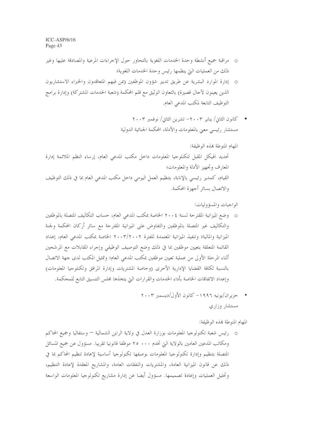- o مراقبة جميع أنشطة وحدة الخدمات اللغوية بالتحاور حول الإحراءات المرعية والمصادقة عليها وغير ذلك من العمليات التي ينظمها رئيس وحدة الخدمات اللغوية؛
- إدارة الموارد البشرية عن طريق تدبير شؤون الموظفين (بمن فيهم المتعاقدون والخبراء الاستشاريون الذين يعينون لآحال قصيرة) بالتعاون الوثيق مع قلم المحكمة (شعبة الخدمات المشتركة) وإدارة برامج التوظيف التابعة لمكتب المدعى العام.
	- كانون الثاني/ يناير ٢٠٠٣- تشرين الثاني/ نوفمبر ٢٠٠٣ مستشار رئيسي معبى بالمعلومات والأدلة، المحكمة الجنائية الدولية
- المهام المنوطة بهذه الوظيفة: تحديد الهيكل المقبل لتكنلوجيا المعلومات داحل مكتب المدعى العام، إرساء النظم الملائمة إدارة المعارف وتحهيز الأدلة والمعلومات؛ القيام، كمدير رئيسي بالإنابة، بتنظيم العمل اليومي داخل مكتب المدعى العام بما في ذلك التوظيف والاتصال بسائر أجهزة المحكمة.

الواجبات والمسؤوليات:

- وضع الميزانية المقترحة لسنة ٢٠٠٤ الخاصة بمكتب المدعى العام، حساب التكاليف المتصلة بالموظفين والتكاليف غير المتصلة بالموظفين والتفاوض على الميزانية المقترحة مع سائر أركان المحكمة ولجنة الميزانية والمالية؛ وتنفيذ الميزانية المعتمدة للفترة ٢٠٠٣/٢٠٠٢ الخاصة بمكتب المدعى العام، إعداد القائمة المتعلقة بتعيين موظفين بما في ذلك وضع التوصيف الوظيفي وإجراء المقابلات مع المرشحين أثناء المرحلة الأولى من عملية تعيين موظفين بمكتب المدعى العام؛ وتمثيل المكتب لدى حهة الاتصال بالنسبة لكافة القضايا الإدارية الأخرى (وخاصة المشتريات وإدارة المرافق وتكنلوجيا المعلومات) وإعداد الاتفاقات الخاصة بأداء الخدمات والقرارات التي يتخذها مجلس التنسيق التابع للمحكمة.
	- حزيران/يونيه ١٩٩٦ كانون الأول/ديسمبر ٢٠٠٣ مستشار وزاري

المهام المنوطة بمذه الوظيفة:

o رئيس شعبة تكنولوجيا المعلومات بوزارة العدل في ولاية الراين الشمالية — وستفاليا وجميع المحاكم ومكاتب المدعين العامين بالولاية التي تخدم ٢٥٠٠٠ موظفا قانونيا تقريبا. مسؤول عن جميع المسائل المتصلة بتنظيم وإدارة تكنولوجيا المعلومات بوصفها تكنولوجيا أساسية لإعادة تنظيم المحاكم بما في ذلك عن قانون الميزانية العامة، والمشتريات والنفقات العامة، والمشاريع المعقدة لإعادة التنظيم، وتحليل العمليات وإعادة تصميمها. مسؤول أيضا عن إدارة مشاريع تكنولوجيا المعلومات الواسعة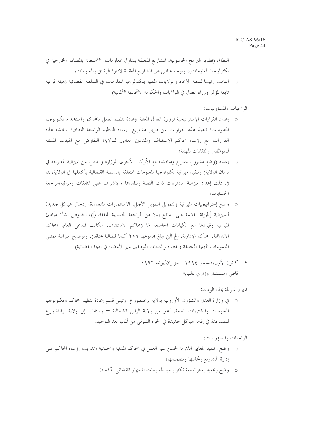النطاق (تطوير البرامج الحاسوبية، المشاريع المتعلقة بتداول المعلومات، الاستعانة بالمصادر الخارجية في تكنولوجيا المعلومات)، وبوجه حاص عن المشاريع المعقدة لإدارة الوثائق والمعلومات؛

○ انتخب رئيسا للجنة الاتحاد والولايات المعنية بتكنولوجيا المعلومات في السلطة القضائية (هيئة فرعية تابعة لمؤتمر وزراء العدل في الولايات والحكومة الاتحادية الألمانية).

الواجبات والمسؤوليات:

- o إعداد القرارات الإستراتيجية لوزارة العدل المعنية بإعادة تنظيم العمل بالمحاكم واستخدام تكنولوجيا المعلومات؛ تنفيذ هذه القرارات عن طريق مشاريع ۖ إعادة التنظيم الواسعة النطاق؛ مناقشة هذه القرارات مع رؤساء محاكم الاستئناف والمدعين العامين للولاية؛ التفاوض مع الهيئات الممثلة للموظفين والنقابات المهنية؛
- o إعداد (وضع مشروع مقترح ومناقشته مع الأركان الأخرى للوزارة والدفاع عن الميزانية المقترحة في برلمان الولاية) وتنفيذ ميزانية تكنولوجيا المعلومات المتعلقة بالسلطة القضائية بأكملها في الولاية، بما في ذلك إعداد ميزانية المشتريات ذات الصلة وتنفيذها والإشراف على النفقات ومراقبة/مراجعة الحسابات؛
- o وضع إستراتيجيات الميزانية (التمويل الطويل الأحل، الاستثمارات المتجددة، إدخال هياكل حديدة للميزانية [الميزنة القائمة على النتائج بدلا من المراجعة الحسابية للنفقات])، التفاوض بشأن مبادئ الميزانية وقيودها مع الكيانات الخاضعة لها (محاكم الاستئناف، مكاتب المدعى العام، المحاكم الابتدائية، المحاكم الإدارية، الخ التي يبلغ مجموعها ٢٥٦ كيانا قضائيا مختلفا)، وتوضيح الميزانية لممثلي المحموعات المهنية المختلفة (القضاة واتحادات الموظفين غير الأعضاء في الهيئة القضائية).
	- كانون الأول/ديسمبر ١٩٩٤ جزيران/يونيه ١٩٩٦ قاض ومستشار وزاري بالنيابة

المهام المنوطة بهذه الوظيفة:

o في وزارة العدل والشؤون الأوروبية بولاية براندنبورغ: رئيس قسم إعادة تنظيم المحاكم وتكنولوجيا المعلومات والمشتريات العامة. أعير من ولاية الراين الشمالية — وستفاليا إلى ولاية براندنبور غ للمساعدة في إقامة هياكل حديدة في الجزء الشرقي من ألمانيا بعد التوحيد.

الواجبات والمسؤوليات:

- o وضع وتنفيذ المعايير اللازمة لحسن سير العمل في المحاكم المدنية والجنائية وتدريب رؤساء المحاكم على إدارة المشاريع وتحليلها وتصميمها؛
	- o وضع وتنفيذ إستراتيجية تكنولوجيا المعلومات للجهاز القضائي بأكمله؛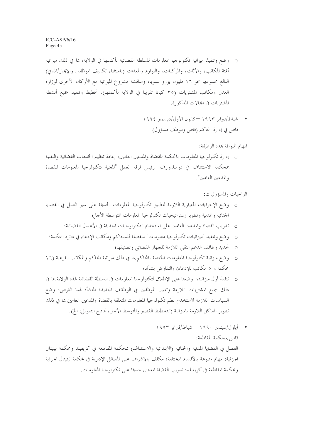- وضع وتنفيذ ميزانية تكنولوجيا المعلومات للسلطة القضائية بأكملها في الولاية، بما في ذلك ميزانية أتمتة المكاتب، والأثاث، والمركبات، واللوازم والمعدات (باستثناء تكاليف الموظفين والإيجار/المبايي) البالغ مجموعها نحو ١٦ مليون يورو سنويا، ومناقشة مشروع الميزانية مع الأركان الأخرى لوزارة العدل ومكاتب المشتريات (٣٥ كيانا تقريبا في الولاية بأكملها). تخطيط وتنفيذ جميع أنشطة المشتربات في المجالات المذكورة.
	- شباط/فبراير ١٩٩٣ —كانون الأول/ديسمبر ١٩٩٤ قاض في إدارة المحاكم (قاض وموظف مسؤول)
		- المهام المنوطة بهذه الوظيفة:
- إدارة تكنولوجيا المعلومات بالمحكمة للقضاة والمدعين العامين، إعادة تنظيم الخدمات القضائية والتقنية بمحكمة الاستئناف في دوسلدورف. رئيس فرقة العمل "المعنية بتكنولوجيا المعلومات للقضاة والمدعين العامين".

الواجبات والمسؤوليات:

- o وضع الإجراءات المعيارية اللازمة لتطبيق تكنولوجيا المعلومات الحديثة على سير العمل في القضايا الجنائية والمدنية وتطوير إستراتيجيات تكنولوجيا المعلومات المتوسطة الأجل؛
	- تدريب القضاة والمدعين العامين على استخدام التكنولوجيات الحديثة في الأعمال القضائية؛
- وضع وتنفيذ "ميزانيات تكنولوجيا معلومات" منفصلة للمحاكم ومكاتب الإدعاء في دائرة المحكمة؛  $\circ$ 
	- O تحديد وظائف الدعم التقى اللازمة للجهاز القضائي وتصنيفها؛
- o وضع ميزانية تكنولوجيا المعلومات الخاصة بالمحاكم بما في ذلك ميزانية المحاكم والمكاتب الفرعية (٢٦ محكمة و ٥ مكاتب للإدعاء) والتفاوض بشألها؛
- تنفيذ أول ميزانيتين وضعتا على الإطلاق لتكنولوجيا المعلومات في السلطة القضائية لهذه الولاية بما في ذلك جميع المشتريات اللازمة وتعيين الموظفين في الوظائف الجديدة المنشأة لهذا الغرض؛ وضع السياسات اللازمة لاستخدام نظم تكنولوجيا المعلومات المتعلقة بالقضاة والمدعين العامين بما في ذلك تطوير الهياكل اللازمة بالميزانية (التخطيط القصير والمتوسط الأحل، نماذج التمويل، الخ).
	- أيلول/سبتمبر ١٩٩٠ شباط/فبراير ١٩٩٣ قاض بمحكمة المقاطعة:

الفصل في القضايا المدنية والجنائية (الابتدائية والاستئناف) بمحكمة المقاطعة في كريفيلد ومحكمة نيتيتال الجزئية: مهام متنوعة بالأقسام المختلفة؛ مكلف بالإشراف على المسائل الإدارية في محكمة نيتيتال الجزئية ومحكمة المقاطعة في كريفيلد؛ تدريب القضاة المعينين حديثا على تكنولوجيا المعلومات.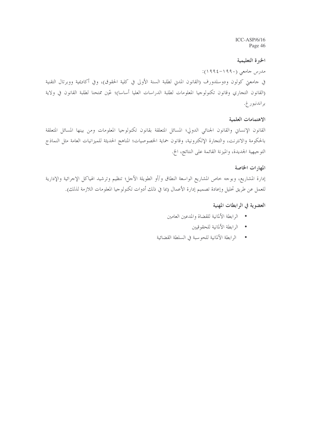#### الخبرة التعليمية

مدرس جامعي (١٩٩٠-١٩٩٤): في حامعتي كولون ودوسلدورف (القانون المدني لطلبة السنة الأولى في كلية الحقوق)، وفي أكاديمية ووبرتال التقنية (القانون التجاري وقانون تكنولوجيا المعلومات لطلبة الدراسات العليا أساسا)؛ عّين ممتحنا لطلبة القانون في ولاية براندنبور غ.

#### الاهتمامات العلمية

القانون الإنساني والقانون الجنائبي الدولي؛ المسائل المتعلقة بقانون تكنولوجيا المعلومات ومن بينها المسائل المتعلقة بالحكومة والانترنت، والتجارة الإلكترونية، وقانون حماية الخصوصيات؛ المناهج الحديثة للميزانيات العامة مثل النماذج التوجيهية الجديدة، والميزنة القائمة على النتائج، الخ.

# المهارات الخاصة

إدارة المشاريع، وبوجه خاص المشاريع الواسعة النطاق و/أو الطويلة الأحل؛ تنظيم وترشيد الهياكل الإحرائية والإدارية للعمل عن طريق تحليل وإعادة تصميم إدارة الأعمال (بما في ذلك أدوات تكنولوجيا المعلومات اللازمة لذلك).

### العضوية في الرابطات المهنية

- الرابطة الألمانية للقضاة والمدعين العامين
	- الرابطة الألمانية للحقوقيين
- الرابطة الألمانية للحوسبة في السلطة القضائية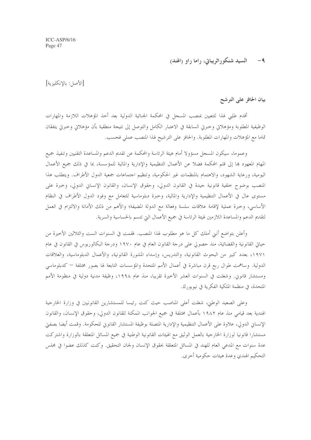۹– السید شنکوراثویباتی، راما راو (الهند)

[الأصل: بالانكليزية]

بيان الحافز على الترشح

أقدم طلبي لهذا للتعيين بمنصب المسجل في المحكمة الجنائية الدولية بعد أخذ المؤهلات اللازمة والمهارات الوظيفية المطلوبة ومؤهلاتي وحبرتي السابقة في الاعتبار الكامل والتوصل إلى نتيجة منطقية بأن مؤهلاتي وحبرتي يتفقان تماما مع المؤهلات والمهارات المطلوبة. والحافز على الترشيح لهذا المنصب عملي فحسب.

وعموما، سيكون المسجل مسؤولا أمام هيئة الرئاسة والمحكمة عن تقديم الدعم والمساعدة التقنيين وتنفيذ جميع المهام المعهود بما إلى قلم المحكمة فضلا عن الأعمال التنظيمية والإدارية والمالية للمؤسسة، بما في ذلك جميع الأعمال اليومية، ورعاية الشهود، والاهتمام بالمنظمات غير الحكومية، وتنظيم احتماعات جمعية الدول الأطراف. ويتطلب هذا المنصب بوضوح خلفية قانونية حيدة في القانون الدولي، وحقوق الإنسان، والقانون الإنساني الدولي، وحبرة على مستوى عال في الأعمال التنظيمية والإدارية والمالية، وخبرة دبلوماسية للتعامل مع وفود الدول الأطراف في النظام الأساسي، وخبرة عملية لإقامة علاقات سلسة وفعالة مع الدولة المضيفة؛ والأهم من ذلك الأمانة والالتزام في العمل لتقديم الدعم والمساعدة اللازمين لهيئة الرئاسة في جميع الأعمال التي تتسم بالحساسية والسرية.

وأعلن بتواضع أنني أملك كل ما هو مطلوب لهذا المنصب. فقمت في السنوات الست والثلاثين الأخيرة من حياتي القانونية والقضائية، منذ حصولي على درجة القانون العام في عام ١٩٧٠ ودرجة البكالوريوس في القانون في عام ١٩٧١، بعدد كبير من البحوث القانونية، والتدريس، وإسداء المشورة القانونية، والأعمال الدبلوماسية، والعلاقات الدولية. وساهمت طوال ربع قرن مباشرة في أعمال الأمم المتحدة والمؤسسات التابعة لها بصور مختلفة — كدبلوماسي ومستشار قانوين. وشغلت في السنوات العشر الأخيرة تقريبًا، منذ عام ١٩٩٨، وظيفة مدنية دولية في منظومة الأمم المتحدة، في منظمة الملكية الفكرية في نيويورك.

وعلى الصعيد الوطني، شغلت أعلى المناصب حيث كنت رئيسا للمستشارين القانونيين في وزارة الخارجية الهندية بعد قيامي منذ عام ١٩٨٢ بأعمال مختلفة في جميع الجوانب الممكنة للقانون الدولي، وحقوق الإنسان، والقانون الإنسان الدولي، علاوة على الأعمال التنظيمية والإدارية المتصلة بوظيفة المستشار القانوني للحكومة. وقمت أيضا بصفيّ مستشارا قانونيا لوزارة الحارجية بالعمل الوثيق مع الهيئات القانونية الوطنية في جميع المسائل المتعلقة بالوزارة واشتركت عدة سنوات مع المدعى العام للهند في المسائل المتعلقة بحقوق الإنسان ولجان التحقيق. وكنت كذلك عضوا في مجلس التحكيم الهندي وعدة هيئات حكومية أخرى.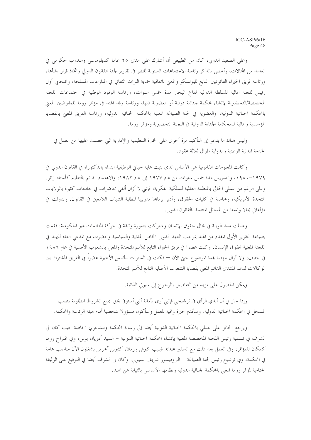وعلى الصعيد الدولي، كان من الطبيعي أن أشارك على مدى ٢٥ عاما كدبلوماسي ومندوب حكومي في العديد من المحالات، وأخص بالذكر رئاسة الاحتماعات السنوية للنظر في تقارير لجنة القانون الدولي واتخاذ قرار بشأنها، ورئاسة فريق الخبراء القانونيين التابع لليونسكو والمعبي باتفاقية حماية التراث الثقافي في المنازعات المسلحة، وانتخابي أول رئيس للجنة المالية للسلطة الدولية لقاع البحار مدة خمس سنوات، ورئاسة الوفود الوطنية في اجتماعات اللجنة المخصصة/التحضيرية لإنشاء محكمة جنائية دولية أو العضوية فيها، ورئاسة وفد الهند في مؤتمر روما للمفوضين المعبي بالمحكمة الجنائية الدولية، والعضوية في لجنة الصياغة المعنية بالمحكمة الجنائية الدولية، ورئاسة الفريق المعنى بالقضايا المؤسسية والمالية للمحكمة الجناية الدولية في اللجنة التحضيرية ومؤتمر روما.

وليس هناك ما يدعو إلى التأكيد مرة أحرى على الخبرة التنظيمية والإدارية التي حصلت عليها من العمل في الخدمة المدنية الوطنية والدولية طوال ثلاثة عقود.

وكانت المعلومات القانونية هي الأساس الذي بنيت عليه حياتي الوظيفية ابتداء بالدكتوراه في القانون الدولي في ١٩٧٩-١٩٨٠، والتدريس مدة خمس سنوات من عام ١٩٧٧ إلى عام ١٩٨٢، والاهتمام الدائم بالتعليم كأستاذ زائر. وعلى الرغم من عملي الحالي بالمنظمة العالمية للملكية الفكرية، فإنين لا أزال ألقى محاضرات في حامعات كثيرة بالولايات المتحدة الأمريكية، وخاصة في كليات الحقوق، وأدير برنامجا تدريبيا للطلبة الشباب اللامعين في القانون. وتناولت في مؤلَّفاتي مجالًا واسعًا من المسائل المتصلة بالقانون الدولي.

وعملت مدة طويلة في مجال حقوق الإنسان وشاركت بصورة وثيقة في حركة المنظمات غير الحكومية: فقمت بصياغة التقرير الأول المقدم من الهند بموجب العهد الدولي الخاص المدنية والسياسية وحضرت مع المدعى العام للهند في اللجنة المعنية بحقوق الإنسان، وكنت عضوا في فريق الخبراء التابع للأمم المتحدة والمعنى بالشعوب الأصلية في عام ١٩٨٦ في حنيف، ولا أزال مهتما هذا الموضوع حتى الآن — فكنت في السنوات الخمس الأخيرة عضواً في الفريق المشترك بين الوكالات لدعم المنتدى الدائم المعنى بقضايا الشعوب الأصلية التابع للأمم المتحدة.

ويمكن الحصول على مزيد من التفاصيل بالرحوع إلى سيرتي الذاتية.

وإذا حاز لي أن أبدي الرأي في ترشيحي فإنني أرى بأمانة أنني أستوفي بحق جميع الشروط المطلوبة لمنصب المسجل في المحكمة الجنائية الدولية. وسأقدم حيرة وافية للعمل وسأكون مسؤولا شخصيا أمام هيئة الرئاسة والمحكمة.

ويرجع الحافز على عملي بالمحكمة الجنائية الدولية أيضا إلى رسالة المحكمة ومشاعري الخاصة حيث كان لي الشرف في تسمية رئيس اللجنة المخصصة المعنية بإنشاء المحكمة الجنائية الدولية – السيد أدريان بوس، وفي اقتراح روما كمكان للمؤتمر، وفي العمل بعد ذلك مع السفير عندئذ فيليب كيرش وزملاء كثيرين أخرين يشغلون الآن مناصب هامة في المحكمة، وفي ترشيح رئيس لجنة الصياغة — البروفيسور شريف بسيوين. وكان لي الشرف أيضا في التوقيع على الوثيقة الختامية لمؤتمر روما المعنى بالمحكمة الجنائية الدولية ونظامها الأساسى بالنيابة عن الهند.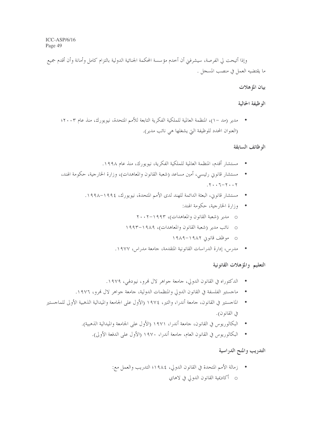وإذا أتيحت لي الفرصة، سيشرفين أن أخدم مؤسسة المحكمة الجنائية الدولية بالتزام كامل وأمانة وأن أقدم جميع ما يقتضيه العمل في منصب المسجل .

# بيان المؤهلات

# الوظيفة الحالية

• مدير (مد –١)، المنظمة العالمية للملكية الفكرية التابعة للأمم المتحدة، نيويورك، منذ عام ٢٠٠٣؛ (العنوان المحدد للوظيفة التي يشغلها هي نائب مدير).

### الوظائف السابقة

- مستشار أقدم، المنظمة العالمية للملكية الفكرية، نيويورك، منذ عام ١٩٩٨.
- مستشار قانوين رئيسي، أمين مساعد (شعبة القانون والمعاهدات)، وزارة الخارجية، حكومة الهند،  $\bullet$  $.7.7 - 7.7$ 
	- مستشار قانوين، البعثة الدائمة للهند لدى الأمم المتحدة، نيويورك، ١٩٩٤–١٩٩٨.
		- وزارة الخارجية، حكومة الهند:
		- 0 مدير (شعبة القانون والمعاهدات)، ٢٠٠٢-٢٠٠٢
		- نائب مدير (شعبة القانون والمعاهدات)، ١٩٨٩–١٩٩٣
			- 0 موظف قانوني ١٩٨٢-١٩٨٩
		- مدرس، إدارة الدراسات القانونية المتقدمة، جامعة مدراس، ١٩٧٧.

### التعليم والمؤهلات القانونية

- الدكتوراه في القانون الدولي، جامعة جواهر لال نمرو، نيودلهي، ١٩٧٩.
- ماجستير الفلسفة في القانون الدولي والمنظمات الدولية، جامعة جواهر لال فمرو، ١٩٧٦.  $\blacksquare$
- الماجستير في القانون، جامعة أندرا، والتير، ١٩٧٤ (الأول على الجامعة والميدالية الذهبية الأولى للماجستير في القانون).
	- البكالوريوس في القانون، حامعة أندرا، ١٩٧١ (الأول على الجامعة والميدالية الذهبية).
		- البكالو, يوس في القانون العام، جامعة أندر ١، ١٩٧٠ (الأول على الدفعة الأولى).

# التدريب والمنح الدراسية

- زمالة الأمم المتحدة في القانون الدولي، ١٩٨٤؛ التدريب والعمل مع:
	- 0 أكاديمية القانون الدولي في لاهاي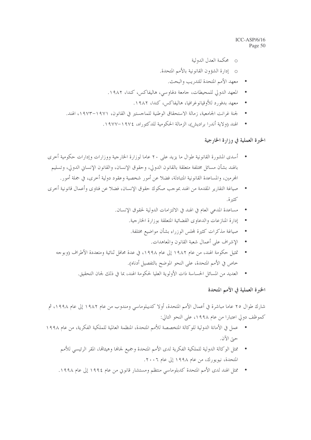- O محكمة العدل الدولية
- o إدارة الشؤون القانونية بالأمم المتحدة.
	- معهد الأمم المتحدة للتدريب والبحث.
- المعهد الدولي للمحيطات، جامعة دلهاوسي، هاليفاكس، كندا، ١٩٨٢.  $\blacksquare$ 
	- معهد بدفورد للأوقيانوغرافيا، هاليفاكس، كندا، ١٩٨٢.
- لجنة غرانت الجامعية، زمالة الاستحقاق الوطنية للماجستير في القانون، ١٩٧١–١٩٧٣، الهند.
	- الهند (ولاية أندرا براديش)، الزمالة الحكومية للدكتوراه، ١٩٧٤–١٩٧٧.

# الخبرة العملية في وزارة الخارجية

- أسدى المشورة القانونية طوال ما يزيد على ٢٠ عاما لوزارة الخارجية ووزارات وإدارات حكومية أحرى بالهند بشأن مسائل مختلفة متعلقة بالقانون الدولي، وحقوق الإنسان، والقانون الإنساني الدولي، وتسليم المحرمين، والمساعدة القانونية المتبادلة، فضلا عن أمور شخصية وعقود دولية أحرى، في جملة أمور .
- صياغة التقارير المقدمة من الهند بموجب صكوك حقوق الإنسان، فضلا عن فتاوى وأعمال قانونية أخرى  $\bullet$ كثيرة.
	- مساعدة المدعى العام في الهند في الالتزامات الدولية لحقوق الإنسان.
		- إدارة المنازعات والدعاوى القضائية المتعلقة بوزارة الخارجية.  $\bullet$
		- صياغة مذكرات كثيرة لمحلس الوزراء بشأن مواضيع مختلفة.
			- الإشراف على أعمال شعبة القانون والمعاهدات.
	- تمثيل حكومة الهند، من عام ١٩٨٢ إلى عام ١٩٩٨، في عدة محافل ثنائية ومتعددة الأطراف (وبوجه خاص في الأمم المتحدة، على النحو الموضح بالتفصيل أدناه).
		- العديد من المسائل الحساسة ذات الأولوية العليا لحكومة الهند، بما في ذلك لجان التحقيق.  $\bullet$

# الخبرة العملية في الأمم المتحدة

شارك طوال ٢٥ عاما مباشرة في أعمال الأمم المتحدة، أولا كديبلوماسي ومندوب من عام ١٩٨٢ إلى عام ١٩٩٨، ثم كموظف دولي اعتبارا من عام ١٩٩٨، على النحو التالي:

- عمل في الأمانة الدولية للوكالة المتخصصة للأمم المتحدة، المنظمة العالمية للملكية الفكرية، من عام ١٩٩٨ حيّ الآن.
	- ممثل الوكالة الدولية للملكية الفكرية لدى الأمم المتحدة وجميع لجانها وهيئاقما، المقر الرئيسي للأمم المتحدة، نيويورك، من عام ١٩٩٨ إلى عام ٢٠٠٦.
	- ممثل الهند لدى الأمم المتحدة كدبلوماسي منتظم ومستشار قانوني من عام ١٩٩٤ إلى عام ١٩٩٨.  $\blacksquare$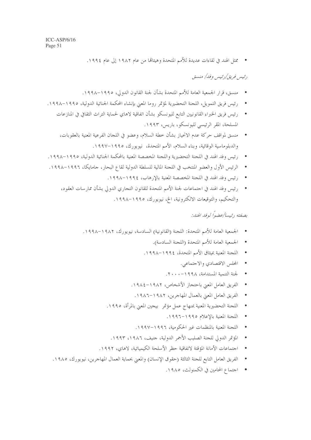ممثل الهند في لقاءات عديدة للأمم المتحدة وهيئاتها من عام ١٩٨٢ إلى عام ١٩٩٤.  $\bullet$ 

رڻيس فيريقي/دڻيس وفلي/ منستق

- منسق، قرار الجمعية العامة للأمم المتحدة بشأن لجنة القانون الدولي، ١٩٩٥–١٩٩٨.
- رئيس فريق التمويل، اللجنة التحضيرية لمؤتمر روما المعنى بإنشاء المحكمة الجنائية الدولية، ١٩٩٥–١٩٩٨.  $\bullet$ 
	- رئيس فريق الخبراء القانونيين التابع لليونسكو بشأن اتفاقية لاهاي لحماية التراث الثقافي في المنازعات المسلحة، المقر الرئيسي لليونسكو، باريس، ١٩٩٣.
	- منسق لمواقف حركة عدم الانحياز بشأن خطة السلام، وعضو في اللجان الفرعية المعنية بالعقوبات،  $\bullet$ والدبلوماسية الوقائية، وبناء السلام، الأمم المتحدة، نيويورك، ١٩٩٥-١٩٩٧.
- رئيس وفد الهند في اللجنة التحضيرية واللجنة المخصصة المعنية بالمحكمة الجنائية الدولية، ١٩٩٥–١٩٩٨.
- الرئيس الأول والعضو المنتخب في اللجنة المالية للسلطة الدولية لقاع البحار، حامايكا، ١٩٩٦–١٩٩٨.  $\blacksquare$ 
	- رئيس وفد الهند في اللجنة المخصصة المعنية بالإرهاب، ١٩٩٤–١٩٩٨.
	- رئيس وفد الهند في احتماعات لجنة الأمم المتحدة للقانون التجاري الدولي بشأن ممارسات العقود، والتحكيم، والتوقيعات الالكترونية، الخ، نيويورك، ١٩٩٥–١٩٩٨.

يصفتهي سا/عضواً لوفيه الحنانز

- الجمعية العامة للأمم المتحدة: اللجنة (القانونية) السادسة، نيويورك، ١٩٨٢–١٩٩٨.
	- الجمعية العامة للأمم المتحدة (اللجنة السادسة).
	- اللجنة المعنية بميثاق الأمم المتحدة، ١٩٩٤–١٩٩٨.
		- المجلس الاقتصادي والاجتماعي.
		- لجنة التنمية المستدامة، ١٩٩٨-٢٠٠٠.
	- الفريق العامل المعنى باحتجاز الأشخاص، ١٩٨٢–١٩٨٤.
	- الفريق العامل المعنى بالعمال المهاجرين، ١٩٨٢–١٩٨٦.
	- اللجنة التحضيرية المعنية بمنهاج عمل مؤتمر بيجين المعنى بالمرأة، ١٩٩٥.
		- اللجنة المعنية بالإعلام ١٩٩٥-١٩٩٦.  $\bullet$
		- اللجنة المعنية بالمنظمات غير الحكومية، ١٩٩٦–١٩٩٧.  $\bullet$
	- المؤتمر الدولي للجنة الصليب الأحمر الدولية، جنيف، ١٩٨٦، ١٩٩٣.  $\bullet$
	- اجتماعات الأمانة المؤقتة لاتفاقية حظر الأسلحة الكيميائية، لاهاي، ١٩٩٢.
- الفريق العامل التابع للجنة الثالثة (حقوق الإنسان) والمعنى بحماية العمال المهاجرين، نيويورك، ١٩٨٥.
	- احتماع المحامين في الكمنولث، ١٩٨٥.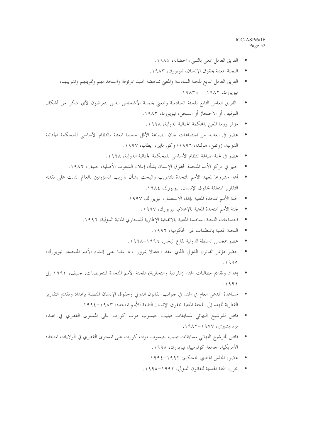- الفريق العامل المعنى بالتبني والحضانة، ١٩٨٤.
- اللجنة المعنية بحقوق الإنسان، نيويورك، ١٩٨٣.
- الفريق العامل التابع للجنة السادسة والمعنى بمناهضة تجنيد المرتزقة واستخدامهم وتمويلهم وتدريبهم،  $\bullet$ نيويورك، ١٩٨٢ و١٩٨٣.
- الفريق العامل التابع للجنة السادسة والمعنى بحماية الأشخاص الذين يتعرضون لأي شكل من أشكال  $\bullet$ التوقيف أو الاحتجاز أو السجن، نيويورك، ١٩٨٢.
	- مؤتمر روما المعين بالمحكمة الجنائية الدولية، ١٩٩٨.
- عضو في العديد من اجتماعات لجان الصياغة الأقل حجما المعنية بالنظام الأساسي للمحكمة الجنائية الدولية، زوتفن، هولندا، ١٩٩٦؛ وكورمايير، ايطاليا، ١٩٩٧.
	- عضو في لجنة صياغة النظام الأساسي للمحكمة الجنائية الدولية، ١٩٩٨.  $\bullet$
	- خبير في مركز الأمم المتحدة لحقوق الإنسان بشأن إعلان الشعوب الأصلية، جنيف، ١٩٨٦.
- أعد مشروعا لمعهد الأمم المتحدة للتدريب والبحث بشأن تدريب المسؤولين بالعالم الثالث على تقديم  $\bullet$ التقارير المتعلقة بحقوق الإنسان، نيويورك، ١٩٨٤.
	- لجنة الأمم المتحدة المعنية بإنهاء الاستعمار، نيويورك، ١٩٩٧.  $\bullet$ 
		- لجنة الأمم المتحدة المعنية بالإعلام، نيويورك، ١٩٩٧.  $\bullet$
	- اجتماعات اللجنة السادسة المعنية بالاتفاقية الإطارية للمجاري المائية الدولية، ١٩٩٦.
		- اللجنة المعنية بالمنظمات غير الحكومية، ١٩٩٦.
		- عضو بمجلس السلطة الدولية لقاع البحار، ١٩٩٦–١٩٩٨.
- حضر مؤتمر القانون الدولي الذي عقد احتفالًا بمرور ٥٠ عاما على إنشاء الأمم المتحدة، نيويورك،  $\bullet$  $.1990$
- إعداد وتقديم مطالبات الهند (الفردية والتجارية) للجنة الأمم المتحدة للتعويضات، حنيف، ١٩٩٢ إلى  $\bullet$  $.1992$
- مساعدة المدعى العام في الهند في جوانب القانون الدولي وحقوق الإنسان المتصلة بإعداد وتقديم التقارير القطرية للهند إلى اللجنة المعنية بحقوق الإنسان التابعة للأمم المتحدة، ١٩٨٣–١٩٩٤.
- قاض للترشيح النهائي لمسابقات فيليب حيسوب موت كورت على المستوى القطري في الهند،  $\bullet$ بونديشيري، ١٩٧٧-١٩٨٢.
- قاض للترشيح النهائي لمسابقات فيليب جيسوب موت كورت على المستوى القطري في الولايات المتحدة الأمريكية، جامعة كولومبيا، نيويورك، ١٩٩٨.
	- عضو، المحلس الهندي للتحكيم، ١٩٩٢–١٩٩٤.
	- محرر، المجلة الهندية للقانون الدولي، ١٩٩٢–١٩٩٥.  $\bullet$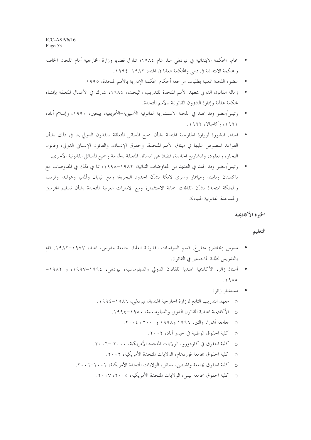- محام، المحكمة الابتدائية في نيودلهي منذ عام ١٩٨٤؛ تناول قضايا وزارة الخارجية أمام اللجان الخاصة والمحكمة الابتدائية في دلهي والمحكمة العليا في الهند، ١٩٨٢–١٩٩٤.
	- عضو، اللجنة المعنية بطلبات مراجعة أحكام المحكمة الإدارية بالأمم المتحدة، ١٩٩٥.
- زمالة القانون الدولي بمعهد الأمم المتحدة للتدريب والبحث، ١٩٨٤، شارك في الأعمال المتعلقة بإنشاء  $\bullet$ محكمة عالمية وإدارة الشؤون القانونية بالأمم المتحدة.
- رئيس/عضو وفد الهند في اللجنة الاستشارية القانونية الآسيوية–الأفريقية، بيجين، ١٩٩٠، وإسلام أباد، ۰۱۹۹۱، وكامبالا، ۱۹۹۲.
- اسداء المشورة لوزارة الخارجية الهندية بشأن جميع المسائل المتعلقة بالقانون الدولي بما في ذلك بشأن القواعد المنصوص عليها في ميثاق الأمم المتحدة، وحقوق الإنسان، والقانون الإنساني الدولي، وقانون البحار، والعقود، والمشاريع الخاصة، فضلاً عن المسائل المتعلقة بالخدمة وجميع المسائل القانونية الأخرى.
- رئيس/عضو وفد الهند في العديد من المفاوضات الثنائية، ١٩٨٢–١٩٩٨، بما في ذلك في المفاوضات مع باكستان وتايلند وميانمار وسري لانكا بشأن الحدود البحرية؛ ومع اليابان وألمانيا وهولندا وفرنسا والمملكة المتحدة بشأن اتفاقات حماية الاستثمار؛ ومع الإمارات العربية المتحدة بشأن تسليم المحرمين والمساعدة القانونية المتبادلة.

# الخبرة الأكاديمية

### التعليم

- مدرس (محاضر) متفرغ. قسم الدراسات القانونية العليا، جامعة مدراس، الهند، ١٩٧٧–١٩٨٢. قام بالتدريس لطلبة الماحستير في القانون.
- أستاذ زائر، الأكاديمية الهندية للقانون الدولي والدبلوماسية، نيودلهي، ١٩٩٤–١٩٩٧، و ١٩٨٢–  $\bullet$  $.19A0$ 
	- مستشار زائر:
	- معهد التدريب التابع لوزارة الخارجية الهندية، نيودلهي، ١٩٨٦–١٩٩٤.
		- الأكاديمية الهندية للقانون الدولي والدبلوماسية، ١٩٨٠-١٩٩٤.  $\circ$ 
			- جامعة أنهارا، والتير، ١٩٩٦ و١٩٩٨ و٢٠٠٠ و٢٠٠٤.  $\circ$ 
				- كلية الحقوق الوطنية في حيدر أباد، ٢٠٠٢.
	- O كلية الحقوق في كاردوزو، الولايات المتحدة الأمريكية، ٢٠٠٠ –٢٠٠٦.
		- كلية الحقوق بجامعة فو, دهام، الولايات المتحدة الأمريكية، ٢٠٠٢.
	- كلية الحقوق بجامعة واشنطن، سياتل، الولايات المتحدة الأمريكية، ٢٠٠٢–٢٠٠٦.
		- 0 كلية الحقوق بجامعة بيس، الولايات المتحدة الأمريكية، ٢٠٠٧، ٢٠٠٧.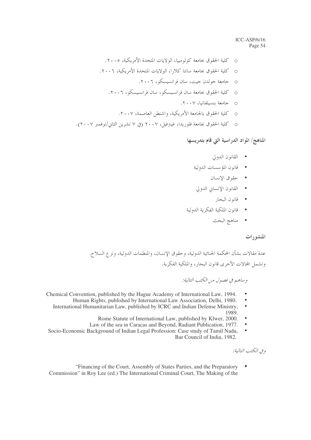- كلية الحقوق بجامعة كولومبيا، الولايات المتحدة الأمريكية، ٢٠٠٥.  $\circ$
- كلية الحقوق بجامعة سانتا كلارا، الولايات المتحدة الأمريكية، ٢٠٠٦.  $\circ$ 
	- 0 جامعة جولدن جيت، سان فرانسسكو، ٢٠٠٦.
	- 0 كلية الحقوق بجامعة سان فرانسيسكو، سان فرانسيسكو، ٢٠٠٦.
		- 0 جامعة بنسيلفانيا، ٢٠٠٧.
		- كلية الحقوق بالجامعة الأمريكية، واشنطن العاصمة، ٢٠٠٧.
- كلية الحقوق بجامعة فلوريدا، غيترفيل، ٢٠٠٧ (في ٧ تشرين الثاني/نوفمبر ٢٠٠٧).

# المناهج/ المواد الدراسية التي قام بتدريسها

- القانون الدولي
- قانون المؤسسات الدولية
	- حقوق الإنسان
- القانون الإنساني الدولي
	- قانون البحا,
- قانون الملكية الفكرية الدولية
	- مناهج البحث

#### المنشورات

عدة مقالات بشأن المحكمة الجنائية الدولية، وحقوق الإنسان، والمنظمات الدولية، ونزع السلاح. وتشمل المحالات الأخرى قانون البحار، والملكية الفكرية.

وساهير في فصول من الكتب التالية:

- Chemical Convention, published by the Hague Academy of International Law, 1994.  $\bullet$ 
	- $\bullet$ Human Rights, published by International Law Association, Delhi, 1980.
- $\bullet$ International Humanitarian Law, published by ICRC and Indian Defense Ministry, 1989.
	- Rome Statute of International Law, published by Klwer, 2000.  $\bullet$  $\bullet$
- Law of the sea in Caracas and Beyond, Radiant Publication, 1977.  $\bullet$ Socio-Economic Background of Indian Legal Profession: Case study of Tamil Nadu, Bar Council of India, 1982.

و في الكتب التالية:

"Financing of the Court, Assembly of States Parties, and the Preparatory Commission" in Roy Lee (ed.) The International Criminal Court, The Making of the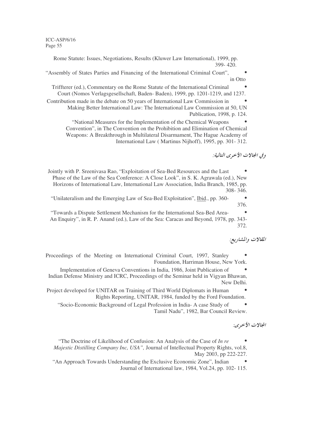Rome Statute: Issues, Negotiations, Results (Kluwer Law International), 1999, pp. 399- 420.

"Assembly of States Parties and Financing of the International Criminal Court", in Otto

Triffterer (ed.), Commentary on the Rome Statute of the International Criminal Court (Nomos Verlagsgesellschaft, Baden- Baden), 1999, pp. 1201-1219, and 1237.

Contribution made in the debate on <sup>50</sup> years of International Law Commission in Making Better International Law: The International Law Commission at 50, UN Publication, 1998, p. 124.

"National Measures for the Implementation of the Chemical Weapons Convention", in The Convention on the Prohibition and Elimination of Chemical Weapons: A Breakthrough in Multilateral Disarmament, The Hague Academy of International Law ( Martinus Nijhoff), 1995, pp. 301- 312.

### وفي الجالات الأخرى التالية:

Jointly with P. Sreenivasa Rao, "Exploitation of Sea-Bed Resources and the Last Phase of the Law of the Sea Conference: A Close Look", in S. K. Agrawala (ed.), New Horizons of International Law, International Law Association, India Branch, 1985, pp. 308- 346.

"Unilateralism and the Emerging Law of Sea-Bed Exploitation", Ibid., pp. 360- 376.

"Towards <sup>a</sup> Dispute Settlement Mechanism for the International Sea-Bed Area- An Enquiry", in R. P. Anand (ed.), Law of the Sea: Caracas and Beyond, 1978, pp. 343- 372.

القالات والمشاريع:

Proceedings of the Meeting on International Criminal Court, 1997, Stanley Foundation, Harriman House, New York.

Implementation of Geneva Conventions in India, 1986, Joint Publication of Indian Defense Ministry and ICRC, Proceedings of the Seminar held in Vigyan Bhawan, New Delhi.

Project developed for UNITAR on Training of Third World Diplomats in Human Rights Reporting, UNITAR, 1984, funded by the Ford Foundation.

"Socio-Economic Background of Legal Profession in India- <sup>A</sup> case Study of Tamil Nadu", 1982, Bar Council Review.

المجالات الأحيري:

"The Doctrine of Likelihood of Confusion: An Analysis of the Case of *In re Majestic Distilling Company Inc, USA",* Journal of Intellectual Property Rights, vol.8, May 2003, pp 222-227.

"An Approach Towards Understanding the Exclusive Economic Zone", Indian Journal of International law, 1984, Vol.24, pp. 102- 115.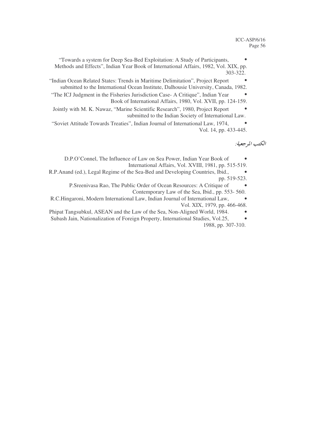"Towards <sup>a</sup> system for Deep Sea-Bed Exploitation: <sup>A</sup> Study of Participants, Methods and Effects", Indian Year Book of International Affairs, 1982, Vol. XIX, pp. 303-322.

"Indian Ocean Related States: Trends in Maritime Delimitation", Project Report submitted to the International Ocean Institute, Dalhousie University, Canada, 1982.

"The ICJ Judgment in the Fisheries Jurisdiction Case- <sup>A</sup> Critique", Indian Year Book of International Affairs, 1980, Vol. XVII, pp. 124-159.

Jointly with M. K. Nawaz, "Marine Scientific Research", 1980, Project Report submitted to the Indian Society of International Law.

"Soviet Attitude Towards Treaties", Indian Journal of International Law, 1974, Vol. 14, pp. 433-445.

الكتب المرجعية:

D.P.O'Connel, The Influence of Law on Sea Power, Indian Year Book of International Affairs, Vol. XVIII, 1981, pp. 515-519.

R.P.Anand (ed.), Legal Regime of the Sea-Bed and Developing Countries, Ibid., • pp. 519-523.

> P.Sreenivasa Rao, The Public Order of Ocean Resources: A Critique of • Contemporary Law of the Sea, Ibid., pp. 553- 560.

R.C.Hingaroni, Modern International Law, Indian Journal of International Law, • Vol. XIX, 1979, pp. 466-468.

Phipat Tangsubkul, ASEAN and the Law of the Sea, Non-Aligned World, 1984.

Subash Jain, Nationalization of Foreign Property, International Studies, Vol.25, • 1988, pp. 307-310.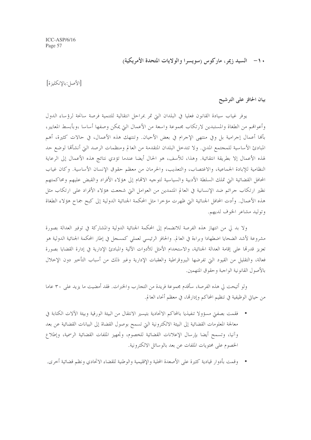• ١- السيد زيم، ماركوس (سويسرا والولايات المتحدة الأمريكية)

[الأصل: بالانكليزة]

# بيان الحافز على الترشيح

يوفر غياب سيادة القانون فعليا في البلدان التي تمر بمراحل انتقالية للتنمية فرصة سانحة لرؤساء الدول وأعوالهم من الطغاة والمستبدين لارتكاب مجموعة واسعة من الأعمال التي يمكن وصفها أساسا ،وبأبسط المعايير، بألها أعمال إجرامية بل وفي منتهى الإجرام في بعض الأحيان. وتنتهك هذه الأعمال، في حالات كثيرة، أهم المبادئ الأساسية للمجتمع المدني. ولا تتدخل البلدان المتقدمة من العالم ومنظمات الرصد التي أنشأها لوضع حد لهذه الأعمال إلا بطريقة انتقائية. وهذا، للأسف، هو الحال أيضا عندما تؤدي نتائج هذه الأعمال إلى الرعاية النظامية للإبادة الجماعية، والاغتصاب، والتعذيب، والحرمان من معظم حقوق الإنسان الأساسية. وكان غياب المحافل القضائية التي تملك السلطة الأدبية والسياسية لتوحيه الاقمام إلى هؤلاء الأفراد والقبض عليهم ومحاكمتهم نظير ارتكاب جرائم ضد الإنسانية في العالم المتمدين من العوامل التي شجعت هؤلاء الأفراد على ارتكاب مثل هذه الأعمال. وأدت المحافل الجنائية التي ظهرت مؤخرا مثل المحكمة الجنائية الدولية إلى كبح جماح هؤلاء الطغاة وتوليد مشاعر الخوف لديهم.

ولا بد لي من انتهاز هذه الفرصة للانضمام إلى المحكمة الجنائية الدولية والمشاركة في توفير العدالة بصورة مشروعة لأشد الضحايا اضطهادا وبراءة في العالم. والحافز الرئيسي لعملي كمسحل في إطار المحكمة الجنائية الدولية هو تعزيز قدرها على إقامة العدالة الجنائية، والاستخدام الأمثل للأدوات الآلية والمبادئ الإدارية في إدارة القضايا بصورة فعالة، والتقليل من القيود التي تفرضها البيروقراطية والعقبات الإدارية وغير ذلك من أسباب التأخير دون الإحلال بالأصول القانونية الواجبة وحقوق المتهمين.

ولو أتيحت لي هذه الفرصة، سأقدم مجموعة فريدة من التجارب والخبرات. فقد أمضيت ما يزيد على ٣٠ عاما من حياتي الوظيفية في تنظيم المحاكم وإدارتما، في معظم أنحاء العالم.

- فقمت بصفيٍّ مسؤولا تنفيذيا بالمحاكم الاتحادية بتيسير الانتقال من البيئة الورقية وبيئة الآلات الكتابة في معالجة المعلومات القضائية إلى البيئة الالكترونية التي تسمح بوصول القضاة إلى البيانات القضائية عن بعد وآنيا، وتسمح أيضا بإرسال الإعلانات القضائية للخصوم، وتجهيز الملفات القضائية الرسمية، وإطلاع الخصوم على محتويات الملفات عن بعد بالوسائل الالكترونية.
- وقمت بأدوار قيادية كثيرة على الأصعدة المحلية والإقليمية والوطنية للقضاء الاتحادي ونظم قضائية أخرى.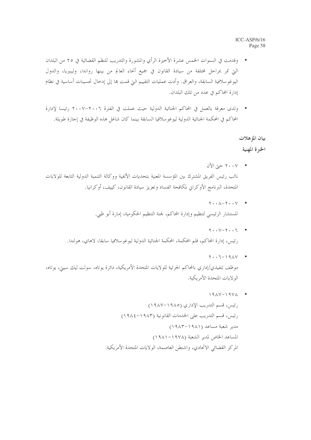- وقدمت في السنوات الخمس عشرة الأخيرة الرأي والمشورة والتدريب للنظم القضائية في ٢٥ من البلدان التي قمر بمراحل مختلفة من سيادة القانون في جميع أنحاء العالم من بينها رواندا، وليبيريا، والدول اليوغوسلافية السابقة، والعراق. وأدت عمليات التقييم التي قمت بما إلى إدخال تحسينات أساسية في نظام إدارة المحاكم في عدد من تلك البلدان.
- ولدى معرفة بالعمل في المحاكم الجنائية الدولية حيث عملت في الفترة ٢٠٠٦–٢٠٠٧ رئيسا لإدارة المحاكم في المحكمة الجنائية الدولية ليوغو سلافيا السابقة بينما كان شاغل هذه الوظيفة في إجازة طويلة.

بيان المؤهلات

الخبرة المهنية

- ٢٠٠٧ حيّ الآن نائب رئيس الفريق المشترك بين المؤسسة المعنية بتحديات الألفية ووكالة التنمية الدولية التابعة للولايات المتحدة، البرنامج الأوكراني لمكافحة الفساد وتعزيز سيادة القانون، كييف، أوكرانيا.
	- $Y \cdot \cdot \wedge Y \cdot \cdot Y$  . المستشار الرئيسي لتنظيم وإدارة المحاكم، لجنة التنظيم الحكومية، إمارة أبو ظبي.
	- $Y \cdot Y Y \cdot Y$ رئيس، إدارة المحاكم، قلم المحكمة، المحكمة الجنائية الدولية ليوغو سلافيا سابقا، لاهاي، هولندا.
- $Y \cdot .7 19 \wedge V$ موظف تنفيذي/إداري بالمحاكم الجزئية للولايات المتحدة الأمريكية، دائرة يوتاه، سولت ليك سيتي، يوتاه، الولايات المتحدة الأمريكية.
	- $19AY-19YA$
	- رئيس، قسم التدريب الإداري (١٩٨٥-١٩٨٧) رئيس، قسم التدريب على الخدمات القانونية (١٩٨٣-١٩٨٤) مدير شعبة مساعد (١٩٨١–١٩٨٣) المساعد الخاص لمدير الشعبة (١٩٧٨–١٩٨١) المركز القضائي الاتحادي، واشنطن العاصمة، الولايات المتحدة الأمريكية.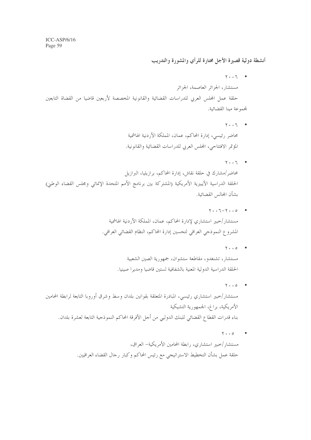أنشطة دولية قصيرة الأجل مختارة للرأى والمشورة والتدريب

 $Y \cdot \cdot Y$   $\bullet$ مستشار، الجزائر العاصمة، الجزائر

حلقة عمل المحلس العربي للدراسات القضائية والقانونية المخصصة لأربعين قاضيا من القضاة التابعين لمحموعة مينا القضائية.

- $Y \cdot \cdot 7$   $\bullet$ محاضر رئيسي، إدارة المحاكم، عمان، المملكة الأردنية الهاشمية المؤتمر الافتتاحي، المجلس العربي للدراسات القضائية والقانونية.
- $Y \cdot \cdot Y$   $\bullet$ محاضر/مشارك في حلقة نقاش، إدارة المحاكم، برازيليا، البرازيل الحلقة الدراسية الأيبيرية الأمريكية (المشتركة بين برنامج الأمم المتحدة الإنمائي ومجلس القضاء الوطني) بشأن المحالس القضائية.
	- $Y_{t+1} Y_{t+2}$  $\bullet$ مستشار /حبير استشاري لإدارة المحاكم، عمان، المملكة الأردنية الهاشمية المشروع النموذجي العراقي لتحسين إدارة المحاكم، النظام القضائي العراقي.
		- $Y \cdot \cdot Q$ مستشار، تشنغدو، مقاطعة ستشوان، جمهورية الصين الشعبية الحلقة الدراسية الدولية المعنية بالشفافية لستين قاضيا ومديرا صينيا.
- $Y \cdot \cdot 0$  $\overline{\phantom{a}}$ مستشار/خبير استشاري رئيسي، المبادرة المتعلقة بقوانين بلدان وسط وشرق أوروبا التابعة لرابطة المحامين الأمريكية، براغ، الجمهورية التشيكية بناء قدرات القطاع القضائي للبنك الدوليي من أجل الأفرقة المحاكم النموذجية التابعة لعشرة بلدان.
	- $\mathbf{y} \cdot \mathbf{z}$ مستشار/خبير استشاري، رابطة المحامين الأمريكية– العراق، حلقة عمل بشأن التخطيط الاستراتيجي مع رئيس المحاكم وكبار رحال القضاء العراقيين.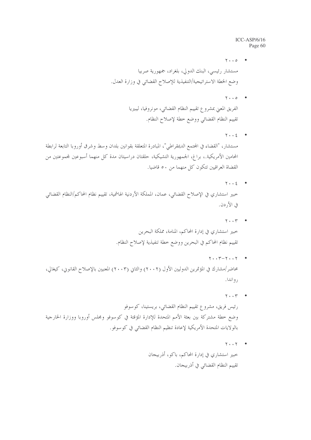- $\mathbf{y} \cdot \mathbf{z}$ مستشار رئيسي، البنك الدولي، بلغراد، جمهورية صربيا وضع الخطة الاستراتيجية/التنفيذية للإصلاح القضائي في وزارة العدل.
	- $Y \cdot \cdot 0$  $\overline{\phantom{a}}$ الفريق المعنى بمشروع تقييم النظام القضائي، مونروفيا، ليبيريا تقييم النظام القضائبي ووضع خطة لإصلاح النظام.
- $Y \cdot \cdot 2$ مستشار، "القضاء في المحتمع الديمقراطي"، المبادرة المتعلقة بقوانين بلدان وسط وشرق أوروبا التابعة لرابطة المحامين الأمريكية.، براغ، الجمهورية التشيكية، حلقتان دراسيتان مدة كل منهما أسبوعين لمحموعتين من القضاة العراقيين تتكون كل منهما من ٥٠ قاضيا.
- $Y \cdot \cdot 2$  $\bullet$ خبير استشاري في الإصلاح القضائي، عمان، المملكة الأردنية الهاشمية، تقييم نظام المحاكم/النظام القضائي في الأردن.
	- $Y \cdot \cdot Y$  $\blacksquare$ خبير استشاري في إدارة المحاكم، المنامة، مملكة البحرين تقييم نظام المحاكم في البحرين ووضع خطة تنفيذية لإصلاح النظام.
- $Y \cdot Y Y \cdot Y$ محاضر/مشارك في المؤتمرين الدوليين الأول (٢٠٠٢) والثاني (٢٠٠٣) المعنيين بالإصلاح القانوين، كيغالي، رواندا.
- $Y \cdot \cdot Y$ رئيس فريق، مشروع تقييم النظام القضائي، بريستينا، كوسوفو وضع خطة مشتركة بين بعثة الأمم المتحدة للإدارة المؤقتة في كوسوفو ومجلس أوروبا ووزارة الخارجية بالولايات المتحدة الأمريكية لإعادة تنظيم النظام القضائي في كوسوفو.
	- $Y \cdot Y$  $\blacksquare$ خبير استشاري في إدارة المحاكم، باكو، أذربيحان تقييم النظام القضائي في أذربيجان.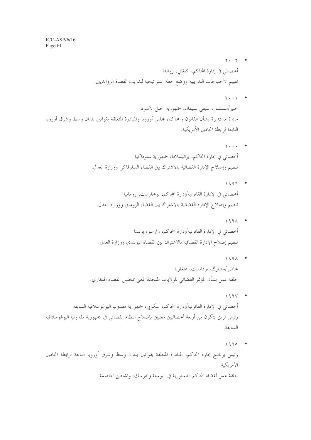- $Y \cdot Y$ أخصائي في إدارة المحاكم، كيغالي، رواندا تقييم الاحتياجات التدريبية ووضع خطة استراتيجية لتدريب القضاة الروانديين.
	- $\mathbf{Y} \cdot \cdot \mathbf{Y}$

 $\blacksquare$ 

خبير/مستشار، سيفي ستيفان، جمهورية الجبل الأسود مائدة مستديرة بشأن القانون والمحاكم، مجلس أوروبا والمبادرة المتعلقة بقوانين بلدان وسط وشرق أوروبا التابعة لـ ابطة المحامين الأمر يكية.

- $\mathbf{y}$ ... أخصائي في إدارة المحاكم، براتيسلافا، جمهورية سلوفاكيا تنظيم وإصلاح الإدارة القضائية بالاشتراك بين القضاء السلوفاكي ووزارة العدل.
- $1999$ أخصائي في الإدارة القانونية/إدارة المحاكم، بوخارست، رومانيا تنظيم وإصلاح الإدارة القضائية بالاشتراك بين القضاء الروماني ووزارة العدل.
	- $\blacksquare$  $199\lambda$ أخصائي في الإدارة القانونية/إدارة المحاكم، وارسو، بولندا تنظيم إصلاح الإدارة القضائية بالاشتراك بين القضاء البولندي ووزارة العدل.
- $199 \wedge$ محاضر /مشارك، بودابست، هنغاريا حلقة عمل بشأن المؤتمر القضائي للولايات المتحدة المعنى بمحلس القضاء الهنغاري.
- $199V$ أخصائي في الإدارة القانونية/إدارة المحاكم، سكويي، جمهورية مقدونيا اليوغوسلافية السابقة رئيس فريق يتكون من أربعة أخصائيين معنيين بإصلاح النظام القضائي في جمهورية مقدونيا اليوغوسلافية السابقة.
- $1990$ رئيس برنامج إدارة المحاكم، المبادرة المتعلقة بقوانين بلدان وسط وشرق أوروبا التابعة لرابطة المحامين الأمريكية حلقة عمل لقضاة المحاكم الدستورية في البوسنة والهرسك، واشنطن العاصمة.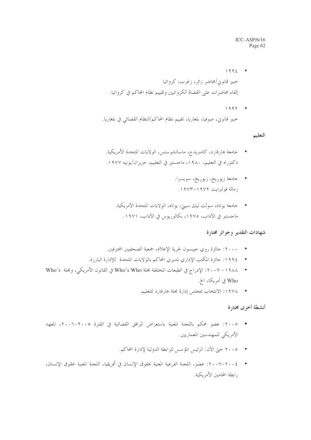- $1992$   $\bullet$ حبير قانوني/محاضر زائر، زغرب، كرواتيا إلقاء محاضرات على القضاة الكرواتيين وتقييم نظام المحاكم في كرواتيا.
- $1997$ خبير قانويي، صوفيا، بلغاريا، تقييم نظام المحاكم/النظام القضائي في بلغاريا.

التعليم

- جامعة هارفارد، كامبريدج، ماساتشوستس، الولايات المتحدة الأمريكية. دكتوراه في التعليم، ١٩٨٠، ماجستير في التعليم، حزيران/يونيه ١٩٧٧.
	- حامعة زيوريخ، زيوريخ، سويسرا. زمالة فولبرايت ١٩٧٢–١٩٧٣.
	- حامعة يوتاه، سولت ليك سيتي، يوتاه، الولايات المتحدة الأمريكية.  $\blacksquare$ ماجستير في الآداب، ١٩٧٥، بكالوريوس في الآداب، ١٩٧١.

شهادات التقدير وجوائز مختارة

- ٢٠٠٠: جائزة روي جيبسون لحرية الإعلام، جمعية الصحفيين المحترفين.
- ١٩٩٤: حائزة المكتب الإداري لمديري المحاكم بالولايات المتحدة للإدارة البارزة.  $\bullet$
- ×٢٠٠٧ ٢٠٠٧: الإدراج في الطبعات المختلفة لمجلة Who's Who في القانون الأمريكي، ومجلة Kho's  $\bullet$ Who في أمريكا، الخ.
	- ١٩٧٨: الانتخاب بمجلس إدارة مجلة هارفارد للتعليم.

أنشطة أخرى مختارة

- ٢٠٠٥: عضو محكم باللجنة المعنية باستعراض المرافق القضائية في الفترة ٢٠٠٥-٢٠٠٦، المعهد  $\bullet$ الأمريكي للمهندسين المعماريين.
	- ہ ٢٠٠٥ حتى الآن: الرئيس المؤسس للرابطة الدولية لإدارة المحاكم.
- ٢٠٠٤-٢٠٠٧: عضو، اللجنة الفرعية المعنية بحقوق الإنسان في أفريقيا، اللجنة المعنية بحقوق الإنسان، , ابطة المحامين الأمر بكية.